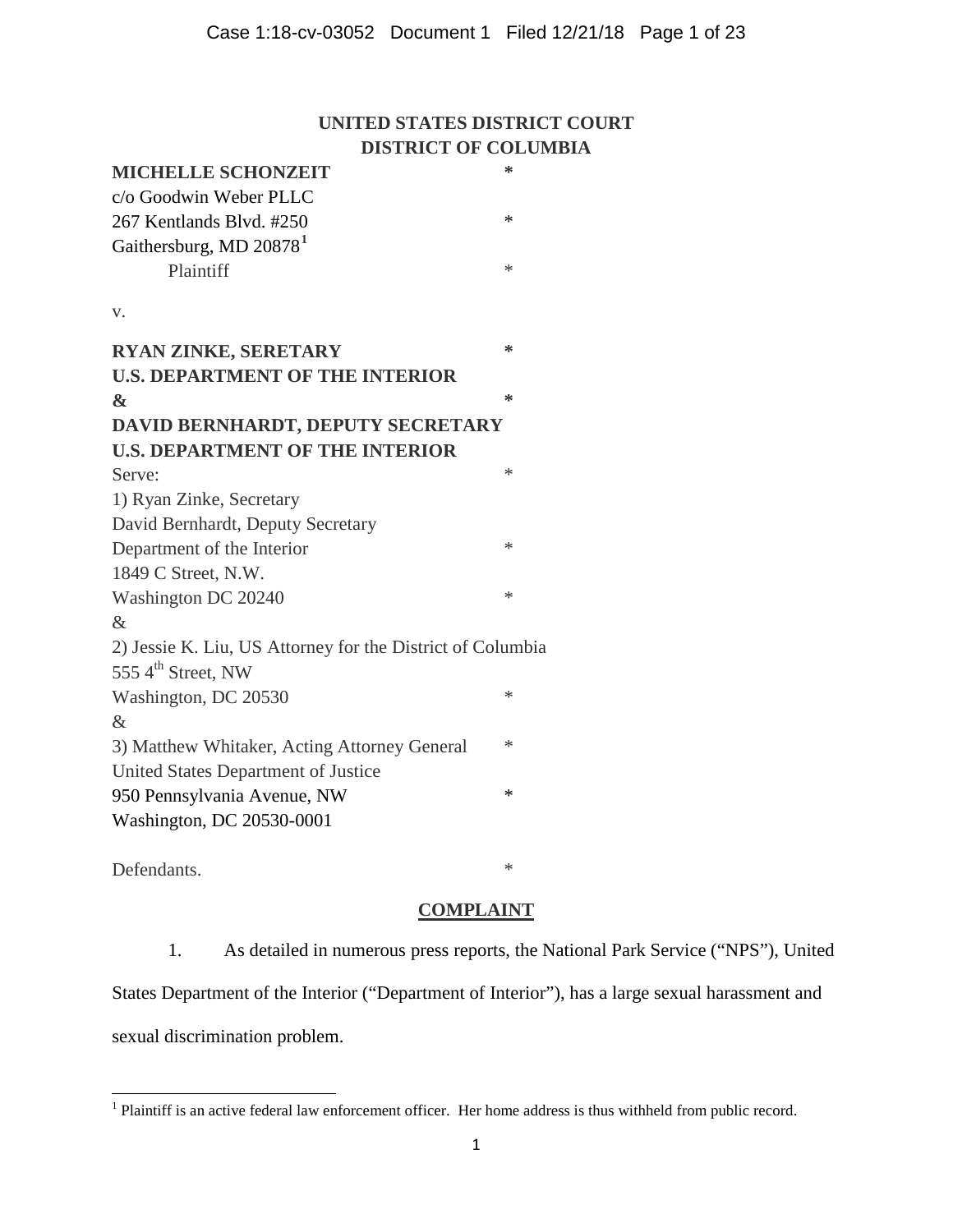# **UNITED STATES DISTRICT COURT DISTRICT OF COLUMBIA**

| <b>MICHELLE SCHONZEIT</b>                                  | ∗      |
|------------------------------------------------------------|--------|
| c/o Goodwin Weber PLLC                                     |        |
| 267 Kentlands Blvd. #250                                   | ∗      |
| Gaithersburg, MD $208781$                                  |        |
| Plaintiff                                                  | $*$    |
| v.                                                         |        |
| <b>RYAN ZINKE, SERETARY</b>                                | ∗      |
| <b>U.S. DEPARTMENT OF THE INTERIOR</b>                     |        |
| $\mathbf{\&}$                                              | ∗      |
| DAVID BERNHARDT, DEPUTY SECRETARY                          |        |
| <b>U.S. DEPARTMENT OF THE INTERIOR</b>                     |        |
| Serve:                                                     | $*$    |
| 1) Ryan Zinke, Secretary                                   |        |
| David Bernhardt, Deputy Secretary                          |        |
| Department of the Interior                                 | $*$    |
| 1849 C Street, N.W.                                        |        |
| Washington DC 20240                                        | ∗      |
| $\&$                                                       |        |
| 2) Jessie K. Liu, US Attorney for the District of Columbia |        |
| 555 4 <sup>th</sup> Street, NW                             |        |
| Washington, DC 20530                                       | ∗      |
| $\&$                                                       |        |
| 3) Matthew Whitaker, Acting Attorney General               | ∗      |
| United States Department of Justice                        |        |
| 950 Pennsylvania Avenue, NW                                | $\ast$ |
| Washington, DC 20530-0001                                  |        |
|                                                            |        |

Defendants.  $*$ 

# **COMPLAINT**

1. As detailed in numerous press reports, the National Park Service ("NPS"), United States Department of the Interior ("Department of Interior"), has a large sexual harassment and sexual discrimination problem.

<span id="page-0-0"></span><sup>&</sup>lt;sup>1</sup> Plaintiff is an active federal law enforcement officer. Her home address is thus withheld from public record.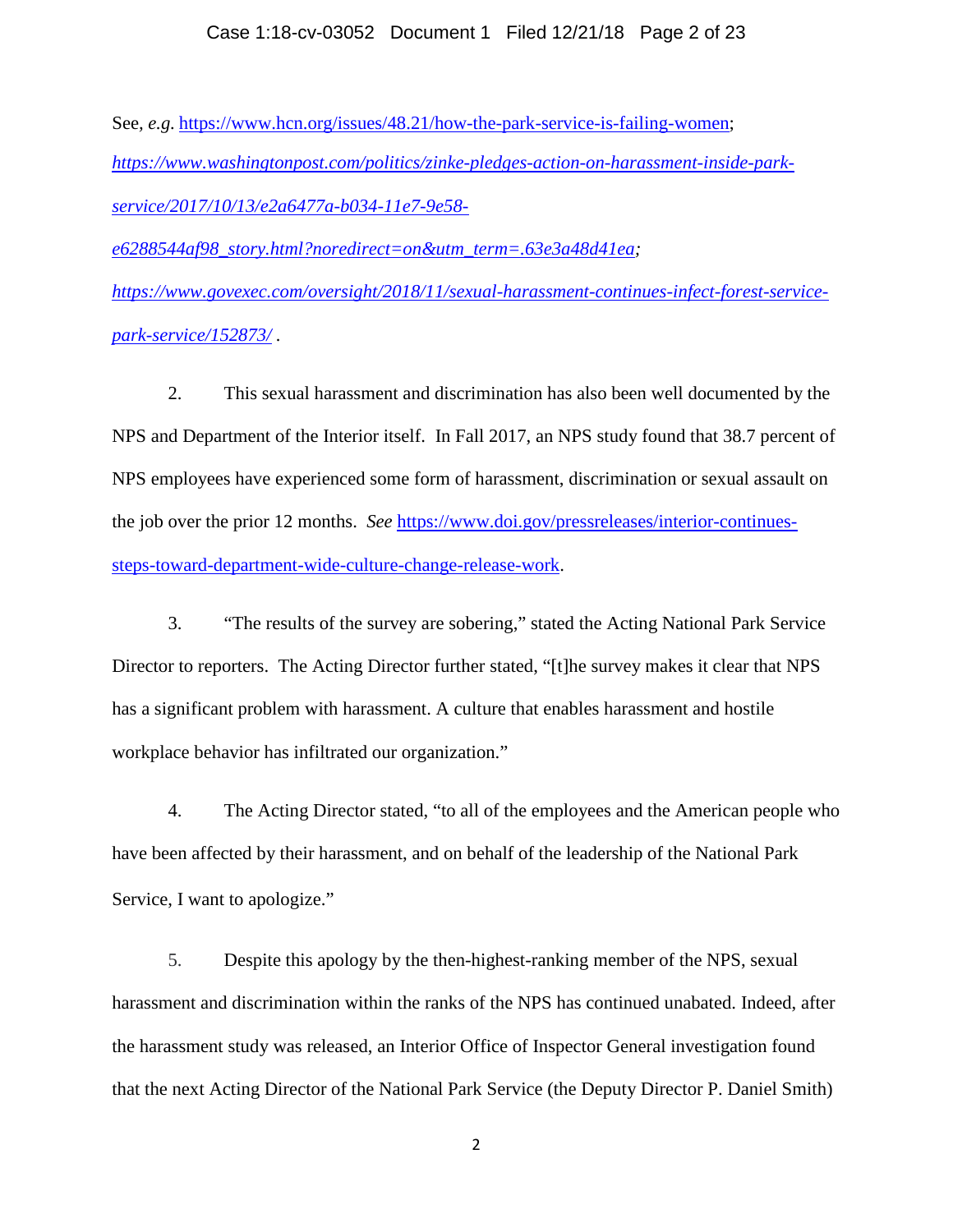## Case 1:18-cv-03052 Document 1 Filed 12/21/18 Page 2 of 23

See*, e.g.* [https://www.hcn.org/issues/48.21/how-the-park-service-is-failing-women;](https://www.hcn.org/issues/48.21/how-the-park-service-is-failing-women) *[https://www.washingtonpost.com/politics/zinke-pledges-action-on-harassment-inside-park](https://www.washingtonpost.com/politics/zinke-pledges-action-on-harassment-inside-park-service/2017/10/13/e2a6477a-b034-11e7-9e58-e6288544af98_story.html?noredirect=on&utm_term=.63e3a48d41ea)[service/2017/10/13/e2a6477a-b034-11e7-9e58](https://www.washingtonpost.com/politics/zinke-pledges-action-on-harassment-inside-park-service/2017/10/13/e2a6477a-b034-11e7-9e58-e6288544af98_story.html?noredirect=on&utm_term=.63e3a48d41ea) [e6288544af98\\_story.html?noredirect=on&utm\\_term=.63e3a48d41ea;](https://www.washingtonpost.com/politics/zinke-pledges-action-on-harassment-inside-park-service/2017/10/13/e2a6477a-b034-11e7-9e58-e6288544af98_story.html?noredirect=on&utm_term=.63e3a48d41ea) [https://www.govexec.com/oversight/2018/11/sexual-harassment-continues-infect-forest-service](https://www.govexec.com/oversight/2018/11/sexual-harassment-continues-infect-forest-service-park-service/152873/)[park-service/152873/](https://www.govexec.com/oversight/2018/11/sexual-harassment-continues-infect-forest-service-park-service/152873/) .*

2. This sexual harassment and discrimination has also been well documented by the NPS and Department of the Interior itself. In Fall 2017, an NPS study found that 38.7 percent of NPS employees have experienced some form of harassment, discrimination or sexual assault on the job over the prior 12 months. *See* [https://www.doi.gov/pressreleases/interior-continues](https://www.doi.gov/pressreleases/interior-continues-steps-toward-department-wide-culture-change-release-work)[steps-toward-department-wide-culture-change-release-work.](https://www.doi.gov/pressreleases/interior-continues-steps-toward-department-wide-culture-change-release-work)

3. "The results of the survey are sobering," stated the Acting National Park Service Director to reporters. The Acting Director further stated, "[t]he survey makes it clear that NPS has a significant problem with harassment. A culture that enables harassment and hostile workplace behavior has infiltrated our organization."

4. The Acting Director stated, "to all of the employees and the American people who have been affected by their harassment, and on behalf of the leadership of the National Park Service, I want to apologize."

5. Despite this apology by the then-highest-ranking member of the NPS, sexual harassment and discrimination within the ranks of the NPS has continued unabated. Indeed, after the harassment study was released, an Interior Office of Inspector General investigation found that the next [Acting Director of the National Park Service \(the Deputy Director P. Daniel Smith\)](https://thehill.com/policy/energy-environment/394648-watchdog-park-service-chief-made-gesture-not-appropriate-for-work)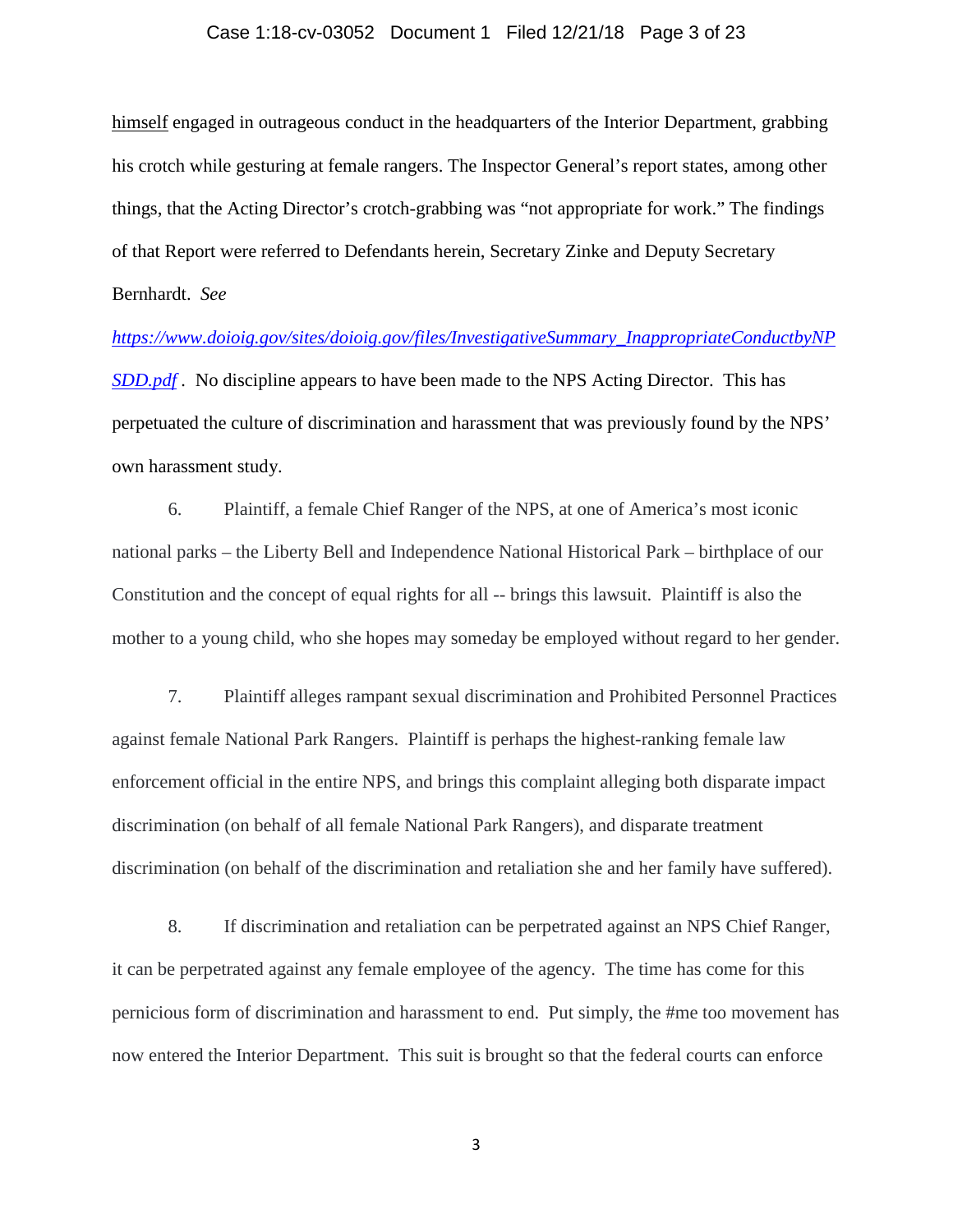### Case 1:18-cv-03052 Document 1 Filed 12/21/18 Page 3 of 23

himself [engaged in outrageous conduct in the headquarters of the Interior Department, grabbing](https://thehill.com/policy/energy-environment/394648-watchdog-park-service-chief-made-gesture-not-appropriate-for-work)  [his crotch while gesturing at female rangers. T](https://thehill.com/policy/energy-environment/394648-watchdog-park-service-chief-made-gesture-not-appropriate-for-work)he Inspector General's report states, among other things, that the Acting Director's crotch-grabbing was ["not appropriate for work.](https://www.doioig.gov/sites/doioig.gov/files/InvestigativeSummary_InappropriateConductbyNPSDD.pdf)" The findings of that Report were referred to Defendants herein, Secretary Zinke and Deputy Secretary Bernhardt. *See*

*[https://www.doioig.gov/sites/doioig.gov/files/InvestigativeSummary\\_InappropriateConductbyNP](https://www.doioig.gov/sites/doioig.gov/files/InvestigativeSummary_InappropriateConductbyNPSDD.pdf) [SDD.pdf](https://www.doioig.gov/sites/doioig.gov/files/InvestigativeSummary_InappropriateConductbyNPSDD.pdf)* . No discipline appears to have been made to the NPS Acting Director. This has perpetuated the culture of discrimination and harassment that was previously found by the NPS' own harassment study.

6. Plaintiff, a female Chief Ranger of the NPS, at one of America's most iconic national parks – the Liberty Bell and Independence National Historical Park – birthplace of our Constitution and the concept of equal rights for all -- brings this lawsuit. Plaintiff is also the mother to a young child, who she hopes may someday be employed without regard to her gender.

7. Plaintiff alleges rampant sexual discrimination and Prohibited Personnel Practices against female National Park Rangers. Plaintiff is perhaps the highest-ranking female law enforcement official in the entire NPS, and brings this complaint alleging both disparate impact discrimination (on behalf of all female National Park Rangers), and disparate treatment discrimination (on behalf of the discrimination and retaliation she and her family have suffered).

8. If discrimination and retaliation can be perpetrated against an NPS Chief Ranger, it can be perpetrated against any female employee of the agency. The time has come for this pernicious form of discrimination and harassment to end. Put simply, the #me too movement has now entered the Interior Department. This suit is brought so that the federal courts can enforce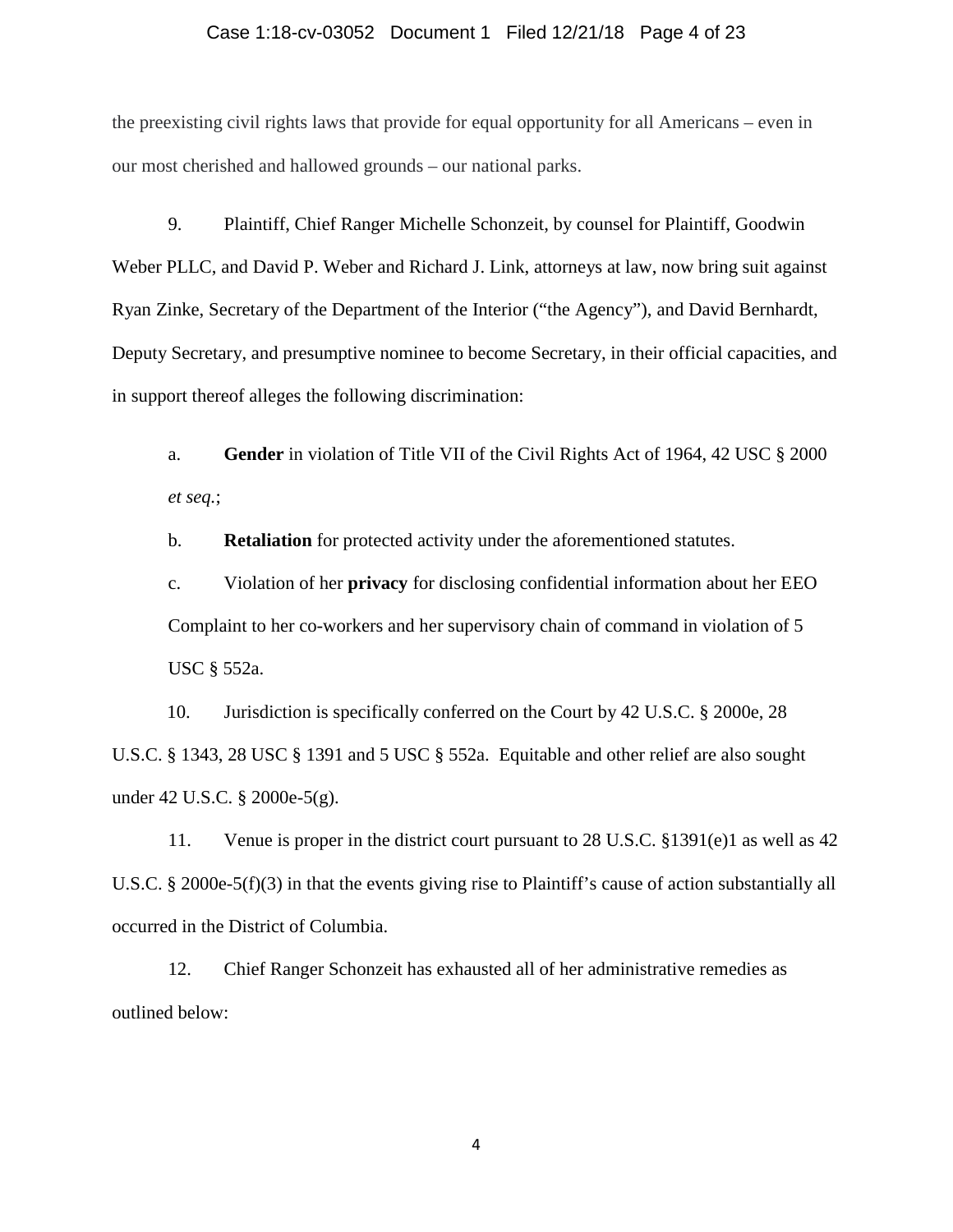### Case 1:18-cv-03052 Document 1 Filed 12/21/18 Page 4 of 23

the preexisting civil rights laws that provide for equal opportunity for all Americans – even in our most cherished and hallowed grounds – our national parks.

9. Plaintiff, Chief Ranger Michelle Schonzeit, by counsel for Plaintiff, Goodwin Weber PLLC, and David P. Weber and Richard J. Link, attorneys at law, now bring suit against Ryan Zinke, Secretary of the Department of the Interior ("the Agency"), and David Bernhardt, Deputy Secretary, and presumptive nominee to become Secretary, in their official capacities, and in support thereof alleges the following discrimination:

a. **Gender** in violation of Title VII of the Civil Rights Act of 1964, 42 USC § 2000 *et seq.*;

b. **Retaliation** for protected activity under the aforementioned statutes.

c. Violation of her **privacy** for disclosing confidential information about her EEO Complaint to her co-workers and her supervisory chain of command in violation of 5 USC § 552a.

10. Jurisdiction is specifically conferred on the Court by 42 U.S.C. § 2000e, 28 U.S.C. § 1343, 28 USC § 1391 and 5 USC § 552a. Equitable and other relief are also sought under 42 U.S.C. § 2000e-5(g).

11. Venue is proper in the district court pursuant to 28 U.S.C. §1391(e)1 as well as 42 U.S.C. § 2000e-5(f)(3) in that the events giving rise to Plaintiff's cause of action substantially all occurred in the District of Columbia.

 12. Chief Ranger Schonzeit has exhausted all of her administrative remedies as outlined below: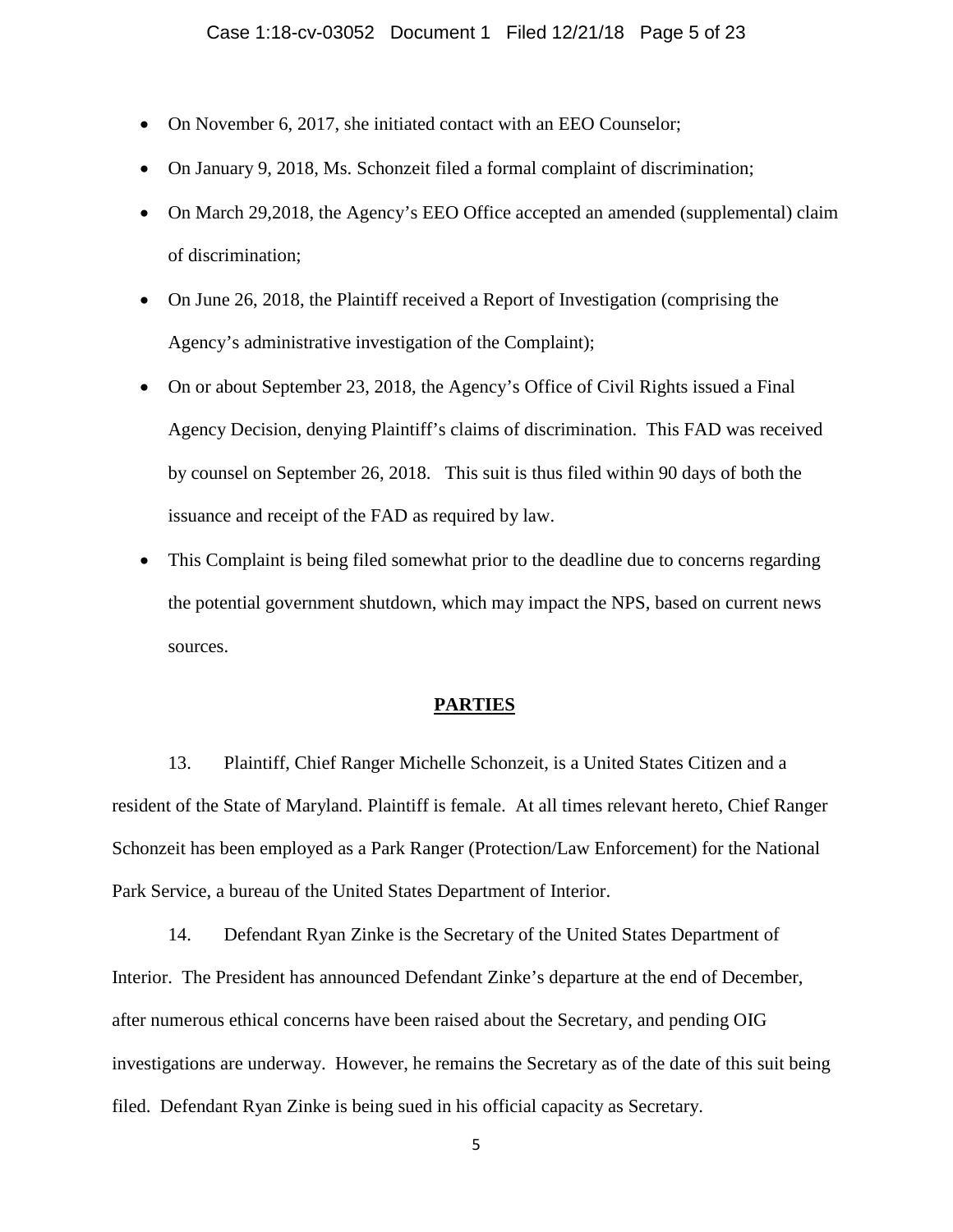- On November 6, 2017, she initiated contact with an EEO Counselor;
- On January 9, 2018, Ms. Schonzeit filed a formal complaint of discrimination;
- On March 29,2018, the Agency's EEO Office accepted an amended (supplemental) claim of discrimination;
- On June 26, 2018, the Plaintiff received a Report of Investigation (comprising the Agency's administrative investigation of the Complaint);
- On or about September 23, 2018, the Agency's Office of Civil Rights issued a Final Agency Decision, denying Plaintiff's claims of discrimination. This FAD was received by counsel on September 26, 2018. This suit is thus filed within 90 days of both the issuance and receipt of the FAD as required by law.
- This Complaint is being filed somewhat prior to the deadline due to concerns regarding the potential government shutdown, which may impact the NPS, based on current news sources.

## **PARTIES**

13. Plaintiff, Chief Ranger Michelle Schonzeit, is a United States Citizen and a resident of the State of Maryland. Plaintiff is female. At all times relevant hereto, Chief Ranger Schonzeit has been employed as a Park Ranger (Protection/Law Enforcement) for the National Park Service, a bureau of the United States Department of Interior.

14. Defendant Ryan Zinke is the Secretary of the United States Department of Interior. The President has announced Defendant Zinke's departure at the end of December, after numerous ethical concerns have been raised about the Secretary, and pending OIG investigations are underway. However, he remains the Secretary as of the date of this suit being filed. Defendant Ryan Zinke is being sued in his official capacity as Secretary.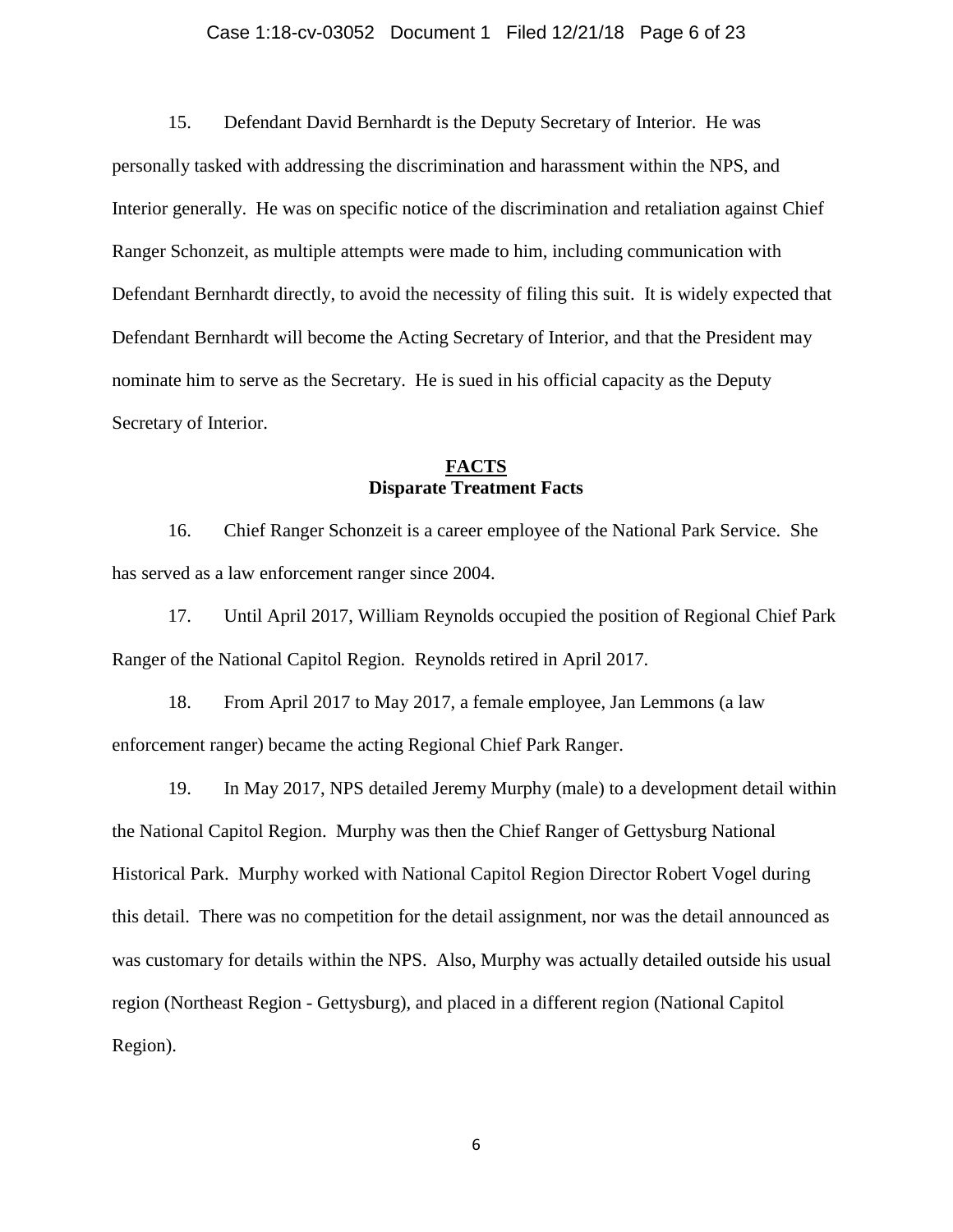### Case 1:18-cv-03052 Document 1 Filed 12/21/18 Page 6 of 23

15. Defendant David Bernhardt is the Deputy Secretary of Interior. He was personally tasked with addressing the discrimination and harassment within the NPS, and Interior generally. He was on specific notice of the discrimination and retaliation against Chief Ranger Schonzeit, as multiple attempts were made to him, including communication with Defendant Bernhardt directly, to avoid the necessity of filing this suit. It is widely expected that Defendant Bernhardt will become the Acting Secretary of Interior, and that the President may nominate him to serve as the Secretary. He is sued in his official capacity as the Deputy Secretary of Interior.

## **FACTS Disparate Treatment Facts**

16. Chief Ranger Schonzeit is a career employee of the National Park Service. She has served as a law enforcement ranger since 2004.

17. Until April 2017, William Reynolds occupied the position of Regional Chief Park Ranger of the National Capitol Region. Reynolds retired in April 2017.

18. From April 2017 to May 2017, a female employee, Jan Lemmons (a law enforcement ranger) became the acting Regional Chief Park Ranger.

19. In May 2017, NPS detailed Jeremy Murphy (male) to a development detail within the National Capitol Region. Murphy was then the Chief Ranger of Gettysburg National Historical Park. Murphy worked with National Capitol Region Director Robert Vogel during this detail. There was no competition for the detail assignment, nor was the detail announced as was customary for details within the NPS. Also, Murphy was actually detailed outside his usual region (Northeast Region - Gettysburg), and placed in a different region (National Capitol Region).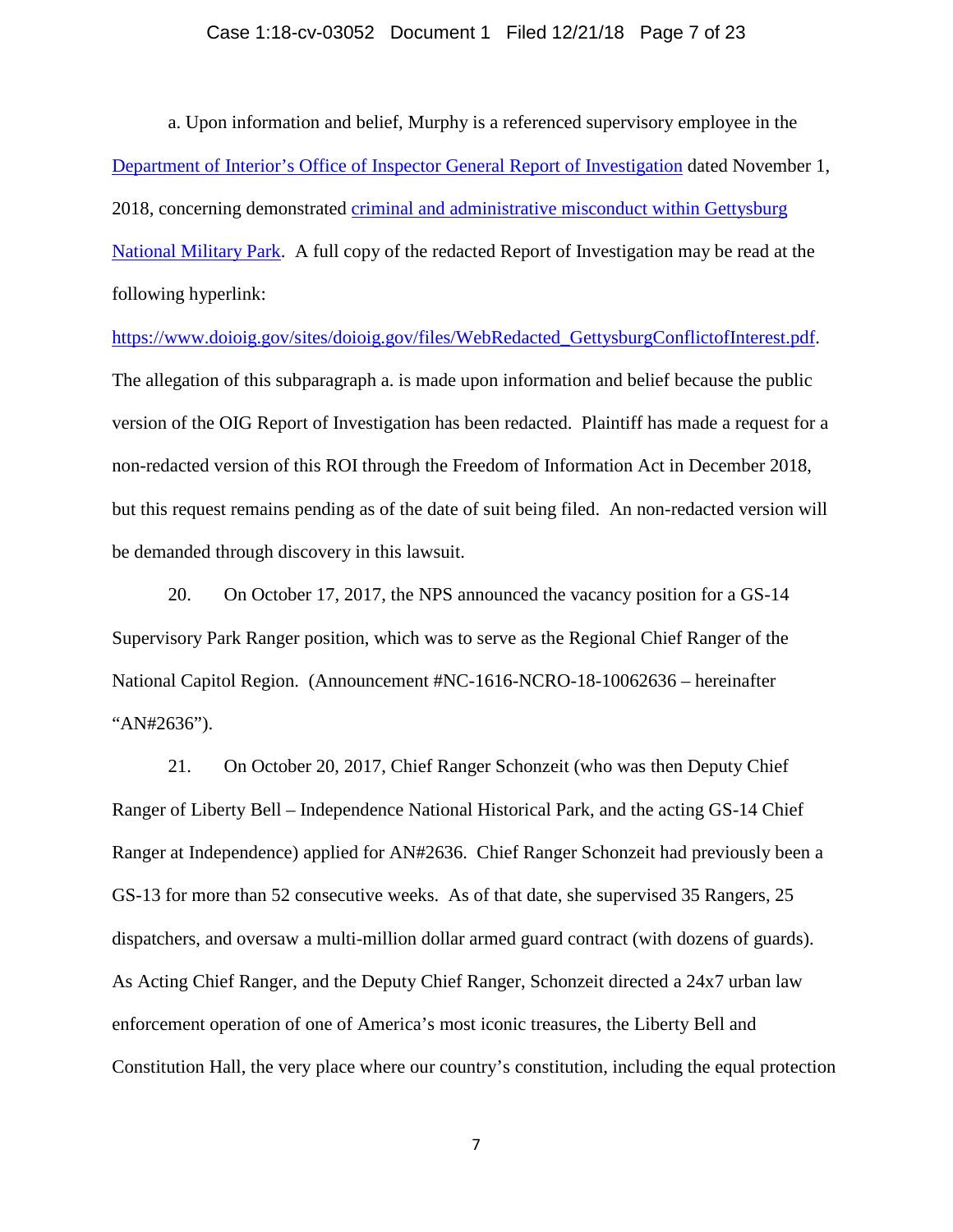### Case 1:18-cv-03052 Document 1 Filed 12/21/18 Page 7 of 23

a. Upon information and belief, Murphy is a referenced supervisory employee in the [Department of Interior's Office of Inspector General Report of Investigation](https://www.doioig.gov/sites/doioig.gov/files/WebRedacted_GettysburgConflictofInterest.pdf) dated November 1, 2018, concerning demonstrated [criminal and administrative misconduct within Gettysburg](https://www.doioig.gov/reports/allegations-conflict-interest-gettysburg-national-military-park)  [National Military Park.](https://www.doioig.gov/reports/allegations-conflict-interest-gettysburg-national-military-park) A full copy of the redacted Report of Investigation may be read at the following hyperlink:

[https://www.doioig.gov/sites/doioig.gov/files/WebRedacted\\_GettysburgConflictofInterest.pdf.](https://www.doioig.gov/sites/doioig.gov/files/WebRedacted_GettysburgConflictofInterest.pdf) The allegation of this subparagraph a. is made upon information and belief because the public version of the OIG Report of Investigation has been redacted. Plaintiff has made a request for a non-redacted version of this ROI through the Freedom of Information Act in December 2018, but this request remains pending as of the date of suit being filed. An non-redacted version will be demanded through discovery in this lawsuit.

20. On October 17, 2017, the NPS announced the vacancy position for a GS-14 Supervisory Park Ranger position, which was to serve as the Regional Chief Ranger of the National Capitol Region. (Announcement #NC-1616-NCRO-18-10062636 – hereinafter "AN#2636").

21. On October 20, 2017, Chief Ranger Schonzeit (who was then Deputy Chief Ranger of Liberty Bell – Independence National Historical Park, and the acting GS-14 Chief Ranger at Independence) applied for AN#2636. Chief Ranger Schonzeit had previously been a GS-13 for more than 52 consecutive weeks. As of that date, she supervised 35 Rangers, 25 dispatchers, and oversaw a multi-million dollar armed guard contract (with dozens of guards). As Acting Chief Ranger, and the Deputy Chief Ranger, Schonzeit directed a 24x7 urban law enforcement operation of one of America's most iconic treasures, the Liberty Bell and Constitution Hall, the very place where our country's constitution, including the equal protection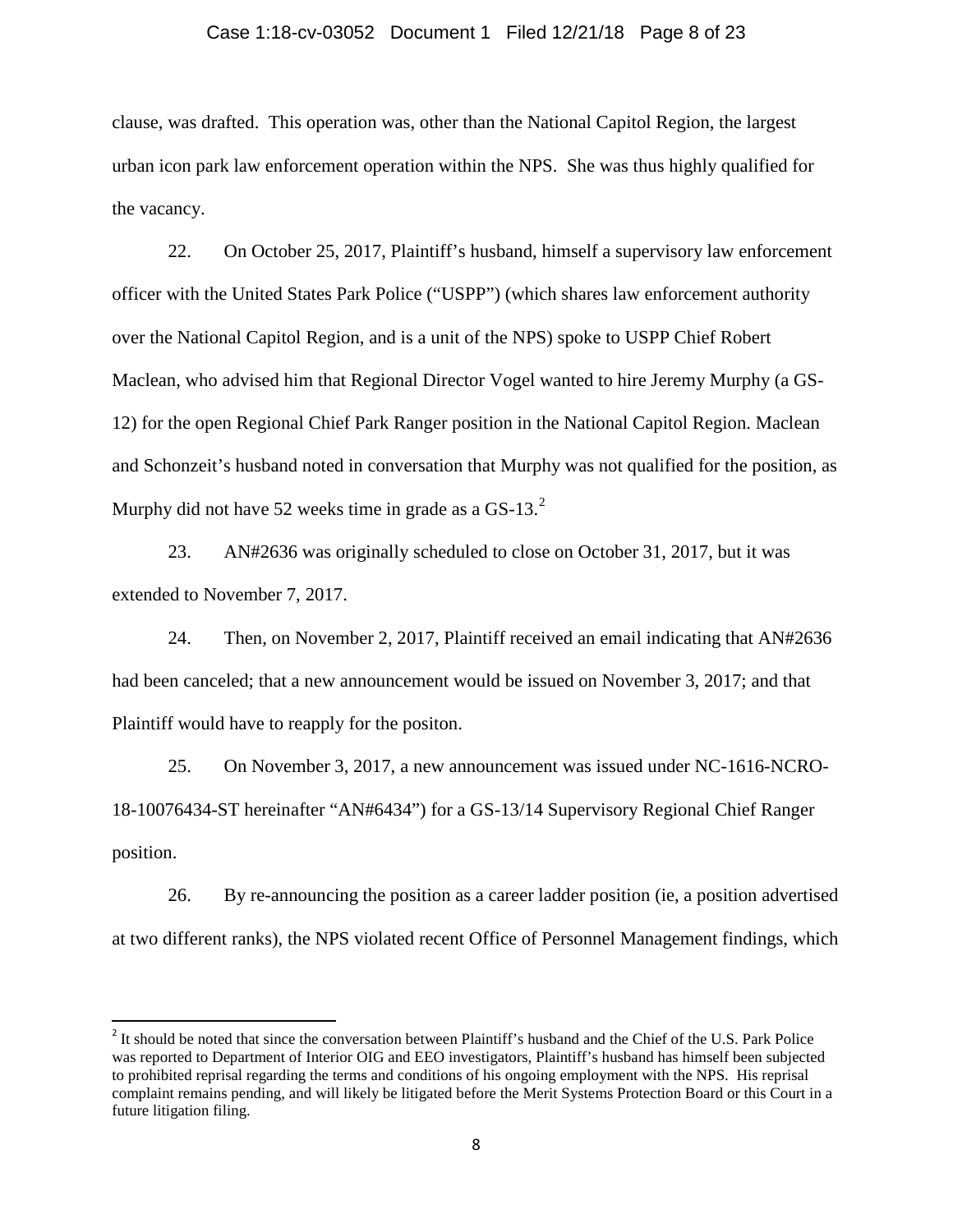## Case 1:18-cv-03052 Document 1 Filed 12/21/18 Page 8 of 23

clause, was drafted. This operation was, other than the National Capitol Region, the largest urban icon park law enforcement operation within the NPS. She was thus highly qualified for the vacancy.

22. On October 25, 2017, Plaintiff's husband, himself a supervisory law enforcement officer with the United States Park Police ("USPP") (which shares law enforcement authority over the National Capitol Region, and is a unit of the NPS) spoke to USPP Chief Robert Maclean, who advised him that Regional Director Vogel wanted to hire Jeremy Murphy (a GS-12) for the open Regional Chief Park Ranger position in the National Capitol Region. Maclean and Schonzeit's husband noted in conversation that Murphy was not qualified for the position, as Murphy did not have 5[2](#page-7-0) weeks time in grade as a GS-13. $^2$ 

23. AN#2636 was originally scheduled to close on October 31, 2017, but it was extended to November 7, 2017.

24. Then, on November 2, 2017, Plaintiff received an email indicating that AN#2636 had been canceled; that a new announcement would be issued on November 3, 2017; and that Plaintiff would have to reapply for the positon.

25. On November 3, 2017, a new announcement was issued under NC-1616-NCRO-18-10076434-ST hereinafter "AN#6434") for a GS-13/14 Supervisory Regional Chief Ranger position.

26. By re-announcing the position as a career ladder position (ie, a position advertised at two different ranks), the NPS violated recent Office of Personnel Management findings, which

<span id="page-7-0"></span><sup>&</sup>lt;sup>2</sup> It should be noted that since the conversation between Plaintiff's husband and the Chief of the U.S. Park Police was reported to Department of Interior OIG and EEO investigators, Plaintiff's husband has himself been subjected to prohibited reprisal regarding the terms and conditions of his ongoing employment with the NPS. His reprisal complaint remains pending, and will likely be litigated before the Merit Systems Protection Board or this Court in a future litigation filing.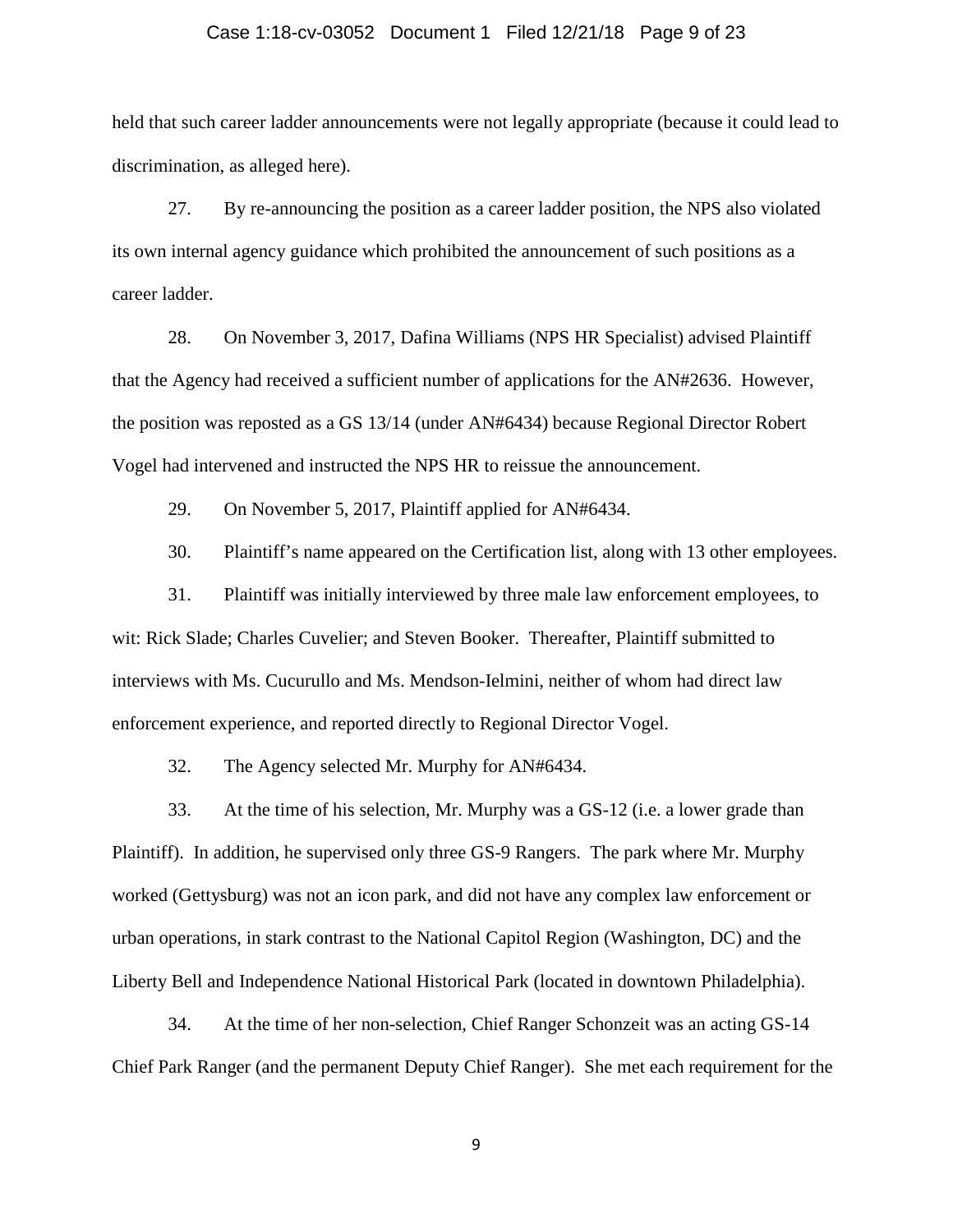### Case 1:18-cv-03052 Document 1 Filed 12/21/18 Page 9 of 23

held that such career ladder announcements were not legally appropriate (because it could lead to discrimination, as alleged here).

27. By re-announcing the position as a career ladder position, the NPS also violated its own internal agency guidance which prohibited the announcement of such positions as a career ladder.

28. On November 3, 2017, Dafina Williams (NPS HR Specialist) advised Plaintiff that the Agency had received a sufficient number of applications for the AN#2636. However, the position was reposted as a GS 13/14 (under AN#6434) because Regional Director Robert Vogel had intervened and instructed the NPS HR to reissue the announcement.

29. On November 5, 2017, Plaintiff applied for AN#6434.

30. Plaintiff's name appeared on the Certification list, along with 13 other employees.

31. Plaintiff was initially interviewed by three male law enforcement employees, to wit: Rick Slade; Charles Cuvelier; and Steven Booker. Thereafter, Plaintiff submitted to interviews with Ms. Cucurullo and Ms. Mendson-Ielmini, neither of whom had direct law enforcement experience, and reported directly to Regional Director Vogel.

32. The Agency selected Mr. Murphy for AN#6434.

33. At the time of his selection, Mr. Murphy was a GS-12 (i.e. a lower grade than Plaintiff). In addition, he supervised only three GS-9 Rangers. The park where Mr. Murphy worked (Gettysburg) was not an icon park, and did not have any complex law enforcement or urban operations, in stark contrast to the National Capitol Region (Washington, DC) and the Liberty Bell and Independence National Historical Park (located in downtown Philadelphia).

34. At the time of her non-selection, Chief Ranger Schonzeit was an acting GS-14 Chief Park Ranger (and the permanent Deputy Chief Ranger). She met each requirement for the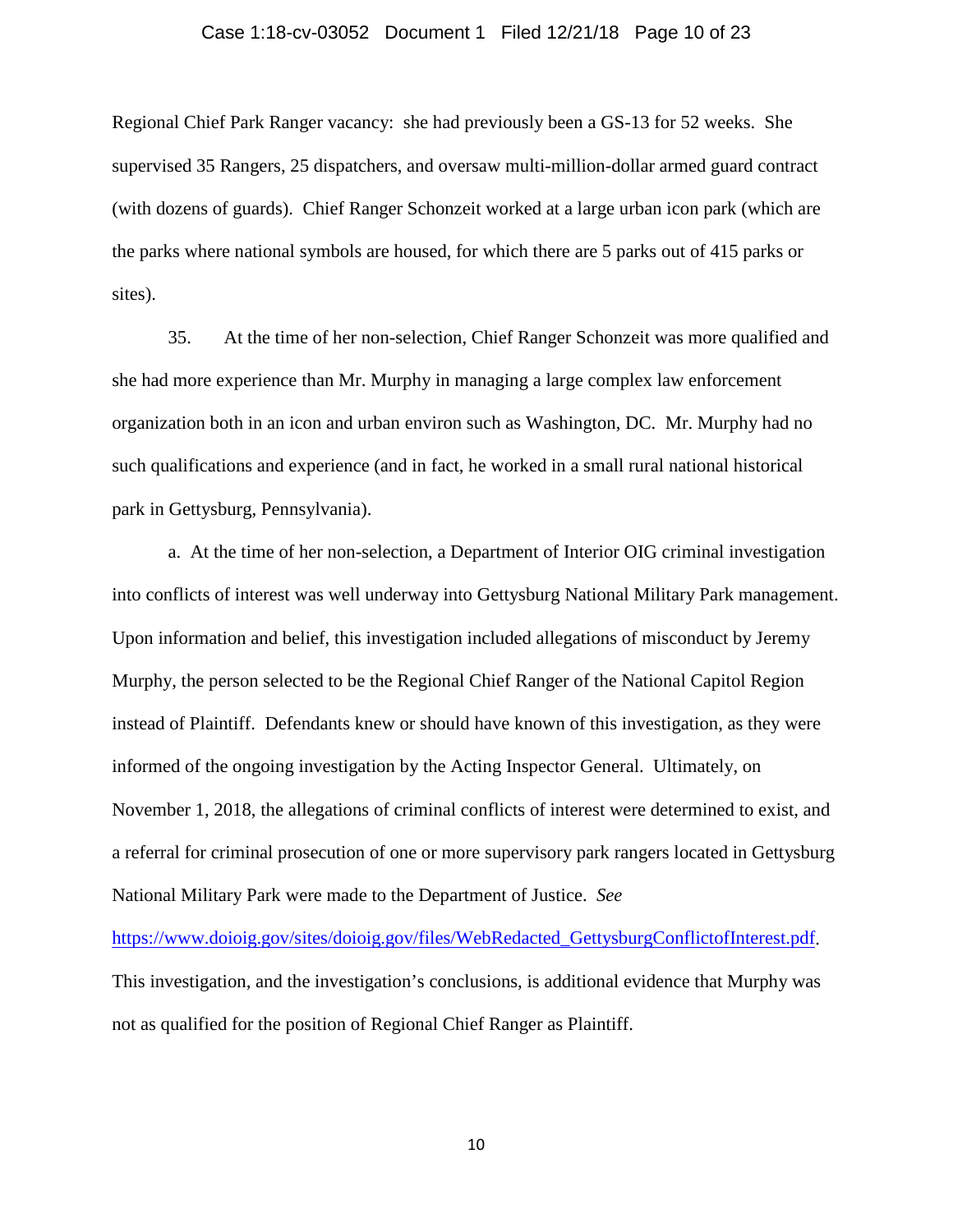#### Case 1:18-cv-03052 Document 1 Filed 12/21/18 Page 10 of 23

Regional Chief Park Ranger vacancy: she had previously been a GS-13 for 52 weeks. She supervised 35 Rangers, 25 dispatchers, and oversaw multi-million-dollar armed guard contract (with dozens of guards). Chief Ranger Schonzeit worked at a large urban icon park (which are the parks where national symbols are housed, for which there are 5 parks out of 415 parks or sites).

35. At the time of her non-selection, Chief Ranger Schonzeit was more qualified and she had more experience than Mr. Murphy in managing a large complex law enforcement organization both in an icon and urban environ such as Washington, DC. Mr. Murphy had no such qualifications and experience (and in fact, he worked in a small rural national historical park in Gettysburg, Pennsylvania).

a. At the time of her non-selection, a Department of Interior OIG criminal investigation into conflicts of interest was well underway into Gettysburg National Military Park management. Upon information and belief, this investigation included allegations of misconduct by Jeremy Murphy, the person selected to be the Regional Chief Ranger of the National Capitol Region instead of Plaintiff. Defendants knew or should have known of this investigation, as they were informed of the ongoing investigation by the Acting Inspector General. Ultimately, on November 1, 2018, the allegations of criminal conflicts of interest were determined to exist, and a referral for criminal prosecution of one or more supervisory park rangers located in Gettysburg National Military Park were made to the Department of Justice. *See* 

[https://www.doioig.gov/sites/doioig.gov/files/WebRedacted\\_GettysburgConflictofInterest.pdf.](https://www.doioig.gov/sites/doioig.gov/files/WebRedacted_GettysburgConflictofInterest.pdf) This investigation, and the investigation's conclusions, is additional evidence that Murphy was not as qualified for the position of Regional Chief Ranger as Plaintiff.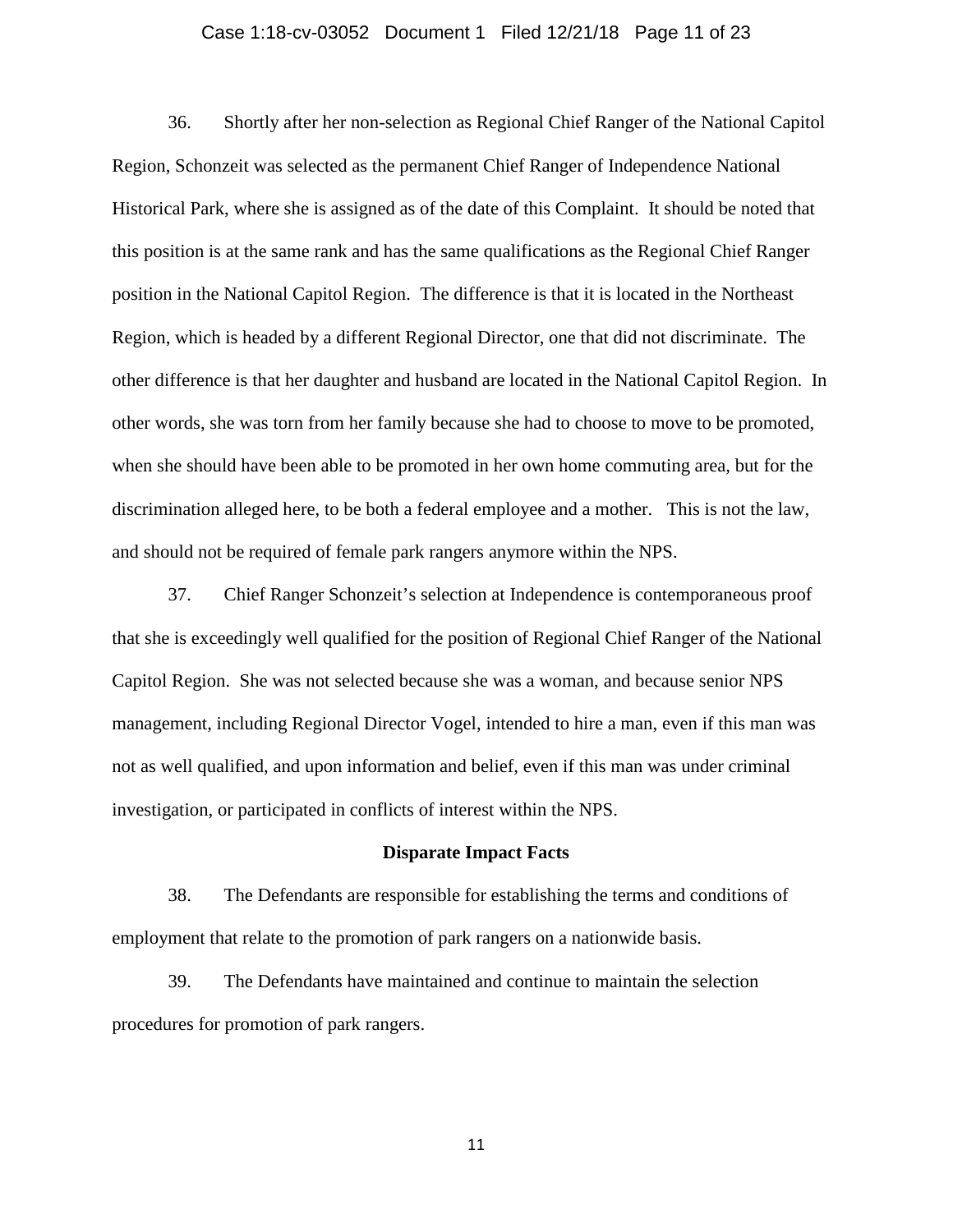### Case 1:18-cv-03052 Document 1 Filed 12/21/18 Page 11 of 23

36. Shortly after her non-selection as Regional Chief Ranger of the National Capitol Region, Schonzeit was selected as the permanent Chief Ranger of Independence National Historical Park, where she is assigned as of the date of this Complaint. It should be noted that this position is at the same rank and has the same qualifications as the Regional Chief Ranger position in the National Capitol Region. The difference is that it is located in the Northeast Region, which is headed by a different Regional Director, one that did not discriminate. The other difference is that her daughter and husband are located in the National Capitol Region. In other words, she was torn from her family because she had to choose to move to be promoted, when she should have been able to be promoted in her own home commuting area, but for the discrimination alleged here, to be both a federal employee and a mother. This is not the law, and should not be required of female park rangers anymore within the NPS.

37. Chief Ranger Schonzeit's selection at Independence is contemporaneous proof that she is exceedingly well qualified for the position of Regional Chief Ranger of the National Capitol Region. She was not selected because she was a woman, and because senior NPS management, including Regional Director Vogel, intended to hire a man, even if this man was not as well qualified, and upon information and belief, even if this man was under criminal investigation, or participated in conflicts of interest within the NPS.

#### **Disparate Impact Facts**

38. The Defendants are responsible for establishing the terms and conditions of employment that relate to the promotion of park rangers on a nationwide basis.

39. The Defendants have maintained and continue to maintain the selection procedures for promotion of park rangers.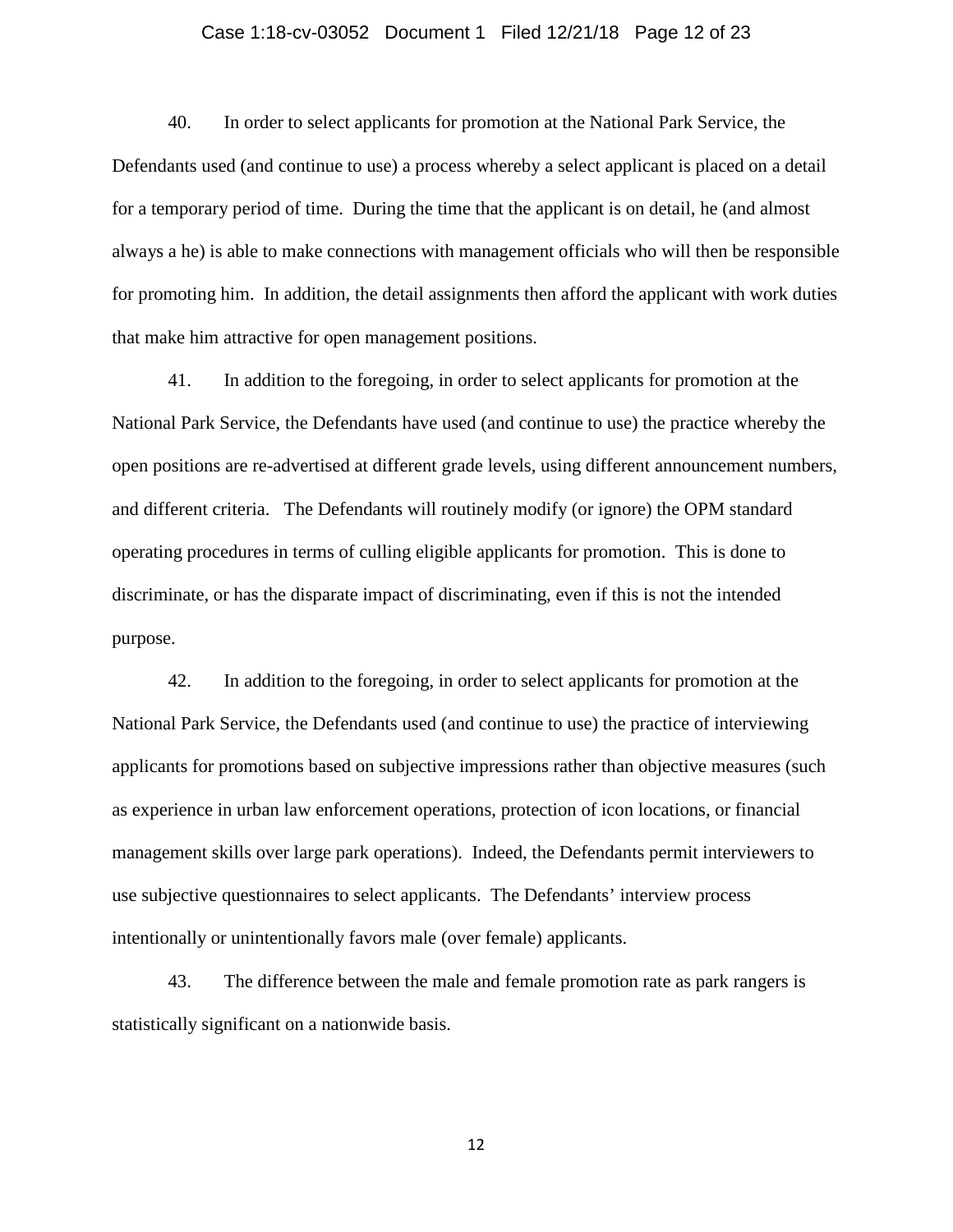### Case 1:18-cv-03052 Document 1 Filed 12/21/18 Page 12 of 23

40. In order to select applicants for promotion at the National Park Service, the Defendants used (and continue to use) a process whereby a select applicant is placed on a detail for a temporary period of time. During the time that the applicant is on detail, he (and almost always a he) is able to make connections with management officials who will then be responsible for promoting him. In addition, the detail assignments then afford the applicant with work duties that make him attractive for open management positions.

41. In addition to the foregoing, in order to select applicants for promotion at the National Park Service, the Defendants have used (and continue to use) the practice whereby the open positions are re-advertised at different grade levels, using different announcement numbers, and different criteria. The Defendants will routinely modify (or ignore) the OPM standard operating procedures in terms of culling eligible applicants for promotion. This is done to discriminate, or has the disparate impact of discriminating, even if this is not the intended purpose.

42. In addition to the foregoing, in order to select applicants for promotion at the National Park Service, the Defendants used (and continue to use) the practice of interviewing applicants for promotions based on subjective impressions rather than objective measures (such as experience in urban law enforcement operations, protection of icon locations, or financial management skills over large park operations). Indeed, the Defendants permit interviewers to use subjective questionnaires to select applicants. The Defendants' interview process intentionally or unintentionally favors male (over female) applicants.

43. The difference between the male and female promotion rate as park rangers is statistically significant on a nationwide basis.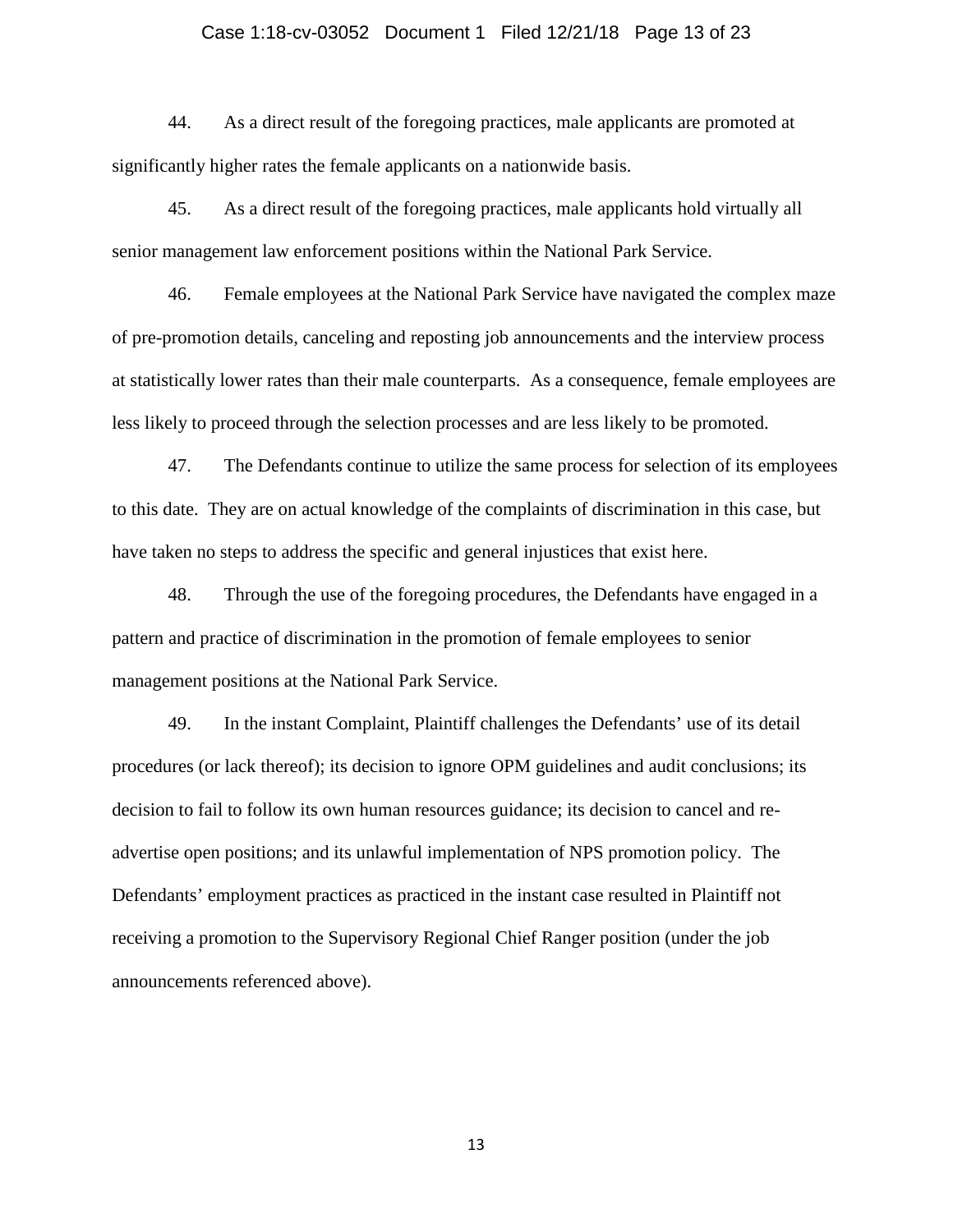### Case 1:18-cv-03052 Document 1 Filed 12/21/18 Page 13 of 23

44. As a direct result of the foregoing practices, male applicants are promoted at significantly higher rates the female applicants on a nationwide basis.

45. As a direct result of the foregoing practices, male applicants hold virtually all senior management law enforcement positions within the National Park Service.

46. Female employees at the National Park Service have navigated the complex maze of pre-promotion details, canceling and reposting job announcements and the interview process at statistically lower rates than their male counterparts. As a consequence, female employees are less likely to proceed through the selection processes and are less likely to be promoted.

47. The Defendants continue to utilize the same process for selection of its employees to this date. They are on actual knowledge of the complaints of discrimination in this case, but have taken no steps to address the specific and general injustices that exist here.

48. Through the use of the foregoing procedures, the Defendants have engaged in a pattern and practice of discrimination in the promotion of female employees to senior management positions at the National Park Service.

49. In the instant Complaint, Plaintiff challenges the Defendants' use of its detail procedures (or lack thereof); its decision to ignore OPM guidelines and audit conclusions; its decision to fail to follow its own human resources guidance; its decision to cancel and readvertise open positions; and its unlawful implementation of NPS promotion policy. The Defendants' employment practices as practiced in the instant case resulted in Plaintiff not receiving a promotion to the Supervisory Regional Chief Ranger position (under the job announcements referenced above).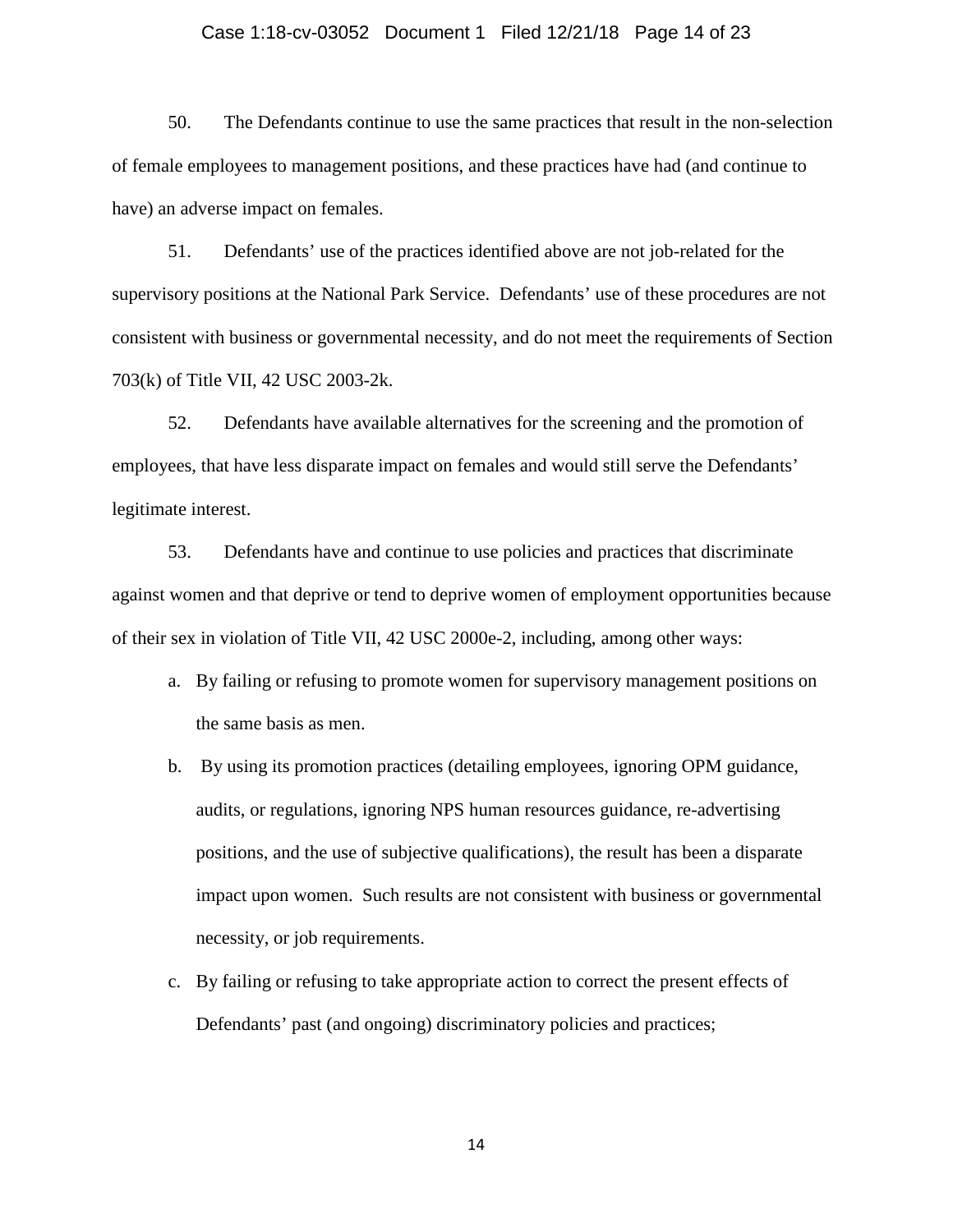#### Case 1:18-cv-03052 Document 1 Filed 12/21/18 Page 14 of 23

50. The Defendants continue to use the same practices that result in the non-selection of female employees to management positions, and these practices have had (and continue to have) an adverse impact on females.

51. Defendants' use of the practices identified above are not job-related for the supervisory positions at the National Park Service. Defendants' use of these procedures are not consistent with business or governmental necessity, and do not meet the requirements of Section 703(k) of Title VII, 42 USC 2003-2k.

52. Defendants have available alternatives for the screening and the promotion of employees, that have less disparate impact on females and would still serve the Defendants' legitimate interest.

53. Defendants have and continue to use policies and practices that discriminate against women and that deprive or tend to deprive women of employment opportunities because of their sex in violation of Title VII, 42 USC 2000e-2, including, among other ways:

- a. By failing or refusing to promote women for supervisory management positions on the same basis as men.
- b. By using its promotion practices (detailing employees, ignoring OPM guidance, audits, or regulations, ignoring NPS human resources guidance, re-advertising positions, and the use of subjective qualifications), the result has been a disparate impact upon women. Such results are not consistent with business or governmental necessity, or job requirements.
- c. By failing or refusing to take appropriate action to correct the present effects of Defendants' past (and ongoing) discriminatory policies and practices;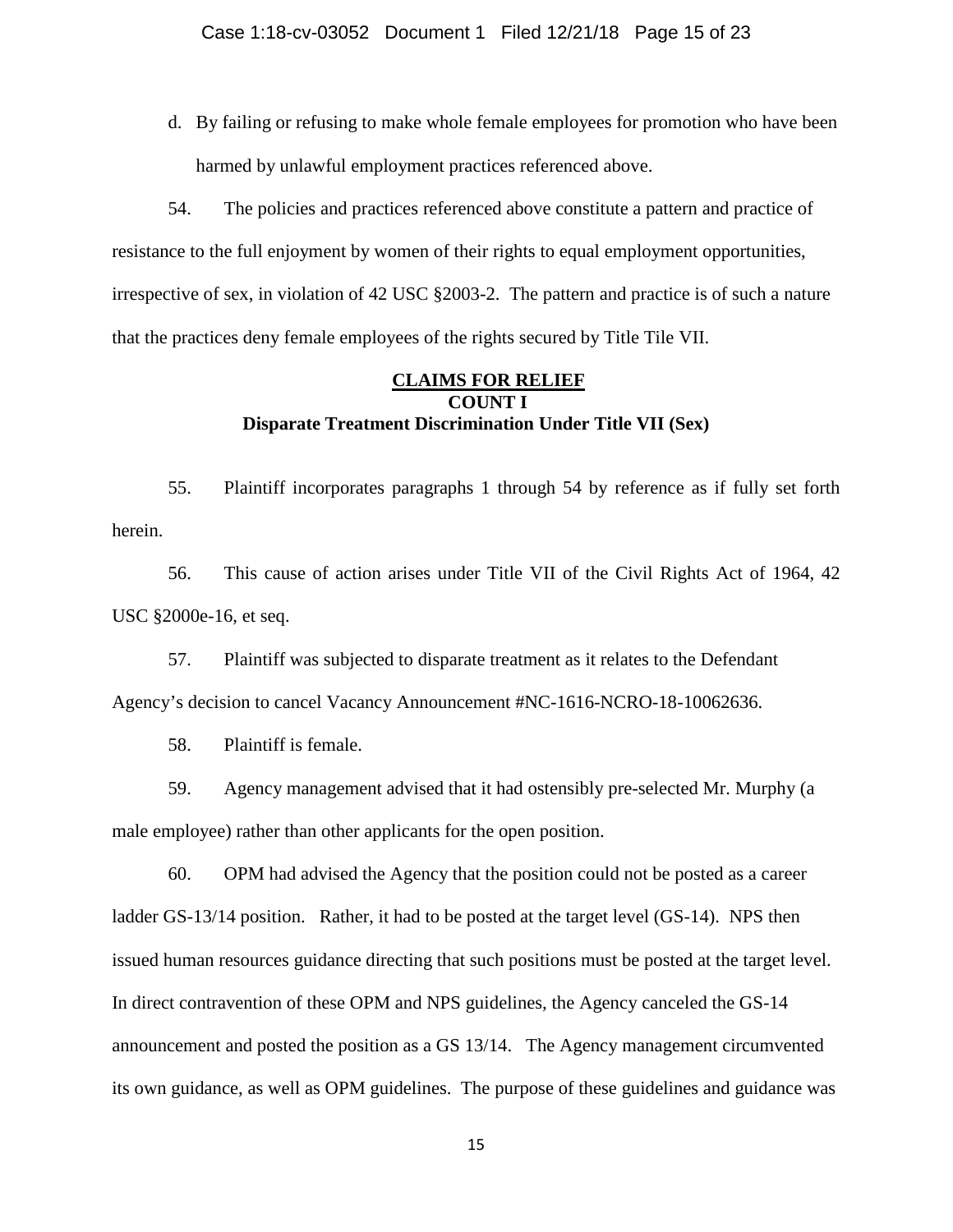d. By failing or refusing to make whole female employees for promotion who have been harmed by unlawful employment practices referenced above.

54. The policies and practices referenced above constitute a pattern and practice of resistance to the full enjoyment by women of their rights to equal employment opportunities, irrespective of sex, in violation of 42 USC §2003-2. The pattern and practice is of such a nature that the practices deny female employees of the rights secured by Title Tile VII.

# **CLAIMS FOR RELIEF COUNT I Disparate Treatment Discrimination Under Title VII (Sex)**

55. Plaintiff incorporates paragraphs 1 through 54 by reference as if fully set forth herein.

56. This cause of action arises under Title VII of the Civil Rights Act of 1964, 42 USC §2000e-16, et seq.

57. Plaintiff was subjected to disparate treatment as it relates to the Defendant Agency's decision to cancel Vacancy Announcement #NC-1616-NCRO-18-10062636.

58. Plaintiff is female.

59. Agency management advised that it had ostensibly pre-selected Mr. Murphy (a male employee) rather than other applicants for the open position.

60. OPM had advised the Agency that the position could not be posted as a career ladder GS-13/14 position. Rather, it had to be posted at the target level (GS-14). NPS then issued human resources guidance directing that such positions must be posted at the target level. In direct contravention of these OPM and NPS guidelines, the Agency canceled the GS-14 announcement and posted the position as a GS 13/14. The Agency management circumvented its own guidance, as well as OPM guidelines. The purpose of these guidelines and guidance was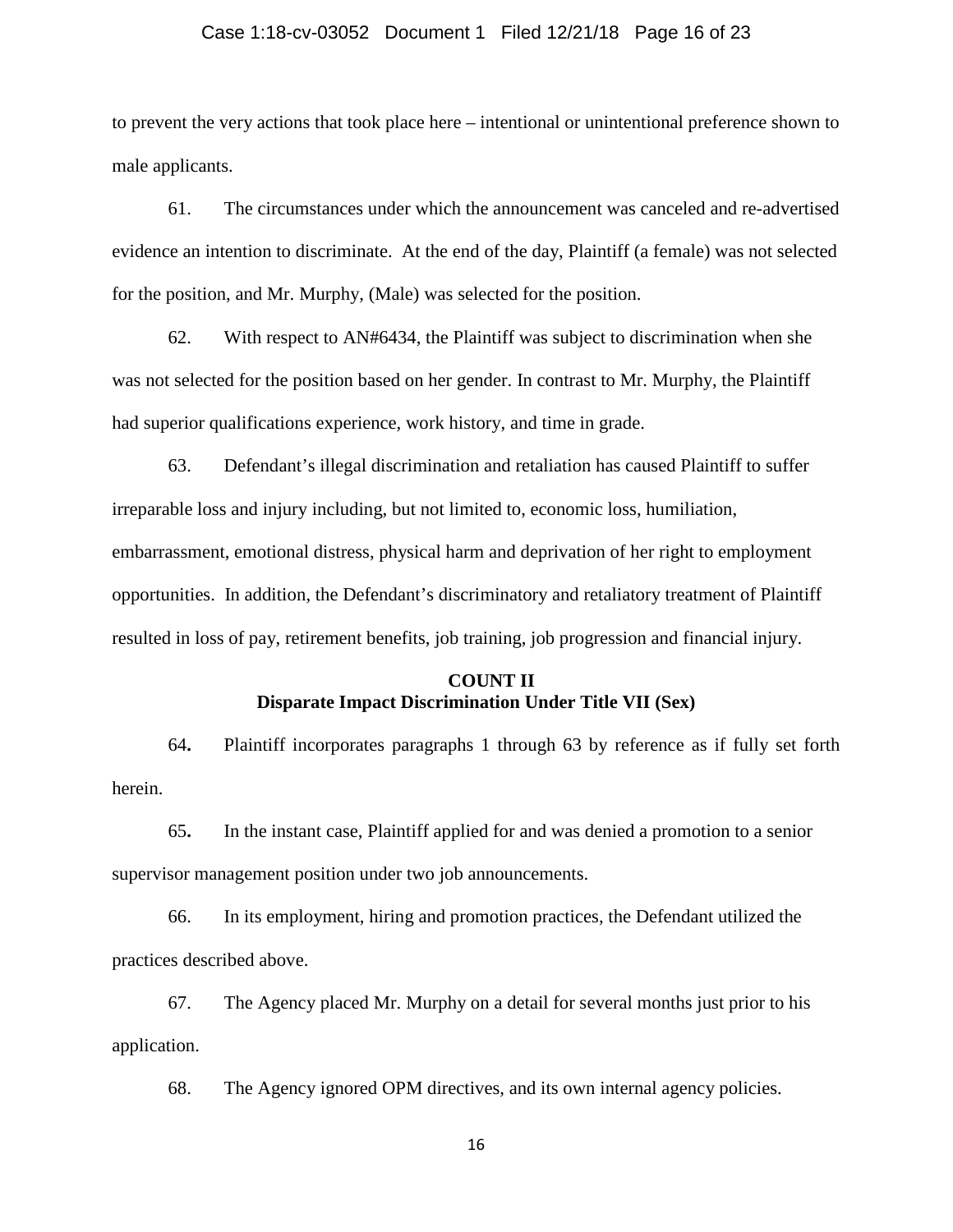### Case 1:18-cv-03052 Document 1 Filed 12/21/18 Page 16 of 23

to prevent the very actions that took place here – intentional or unintentional preference shown to male applicants.

61. The circumstances under which the announcement was canceled and re-advertised evidence an intention to discriminate. At the end of the day, Plaintiff (a female) was not selected for the position, and Mr. Murphy, (Male) was selected for the position.

62. With respect to AN#6434, the Plaintiff was subject to discrimination when she was not selected for the position based on her gender. In contrast to Mr. Murphy, the Plaintiff had superior qualifications experience, work history, and time in grade.

63. Defendant's illegal discrimination and retaliation has caused Plaintiff to suffer irreparable loss and injury including, but not limited to, economic loss, humiliation, embarrassment, emotional distress, physical harm and deprivation of her right to employment opportunities. In addition, the Defendant's discriminatory and retaliatory treatment of Plaintiff resulted in loss of pay, retirement benefits, job training, job progression and financial injury.

# **COUNT II Disparate Impact Discrimination Under Title VII (Sex)**

64**.** Plaintiff incorporates paragraphs 1 through 63 by reference as if fully set forth herein.

65**.** In the instant case, Plaintiff applied for and was denied a promotion to a senior supervisor management position under two job announcements.

66. In its employment, hiring and promotion practices, the Defendant utilized the practices described above.

67. The Agency placed Mr. Murphy on a detail for several months just prior to his application.

68. The Agency ignored OPM directives, and its own internal agency policies.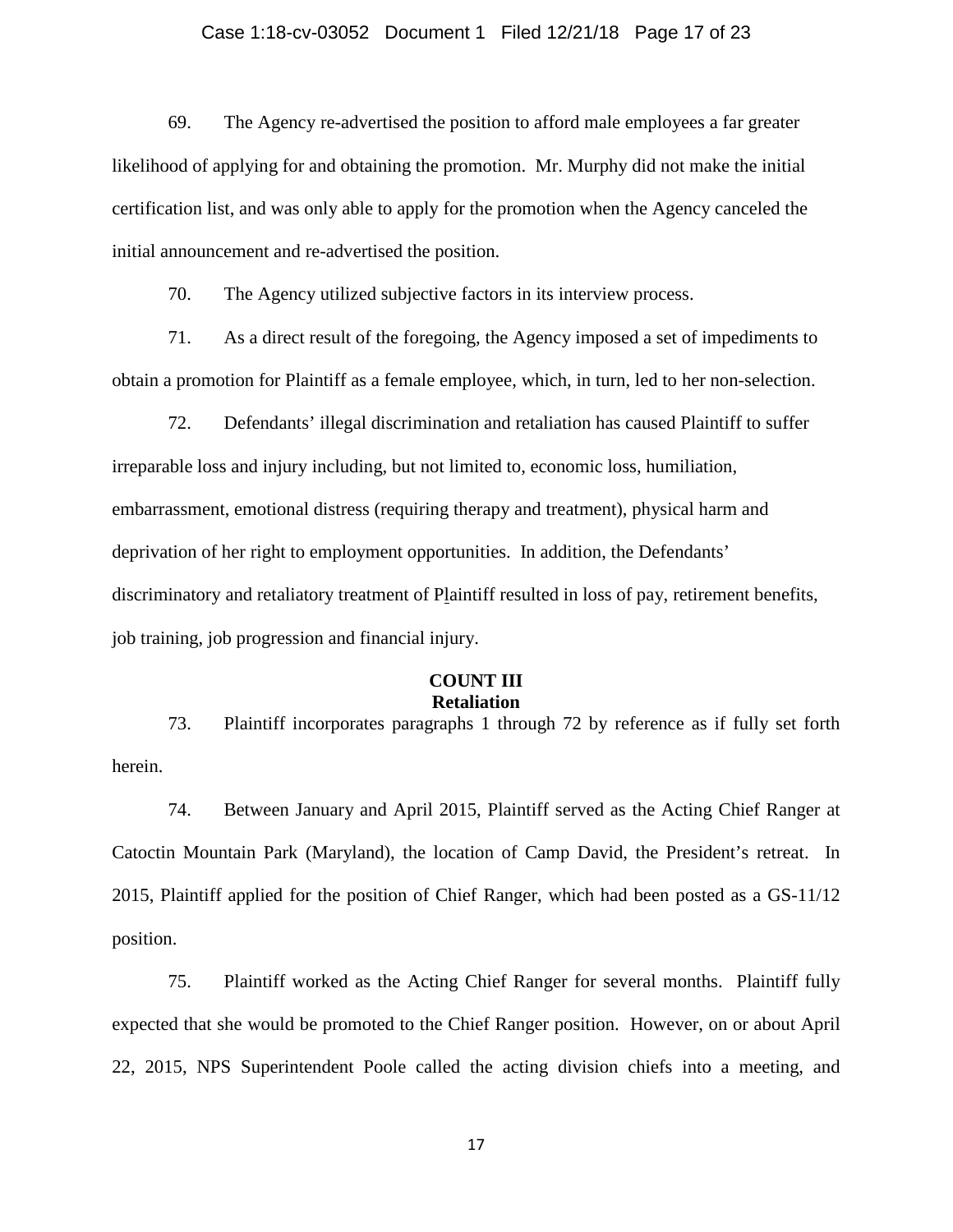### Case 1:18-cv-03052 Document 1 Filed 12/21/18 Page 17 of 23

69. The Agency re-advertised the position to afford male employees a far greater likelihood of applying for and obtaining the promotion. Mr. Murphy did not make the initial certification list, and was only able to apply for the promotion when the Agency canceled the initial announcement and re-advertised the position.

70. The Agency utilized subjective factors in its interview process.

71. As a direct result of the foregoing, the Agency imposed a set of impediments to obtain a promotion for Plaintiff as a female employee, which, in turn, led to her non-selection.

72. Defendants' illegal discrimination and retaliation has caused Plaintiff to suffer irreparable loss and injury including, but not limited to, economic loss, humiliation, embarrassment, emotional distress (requiring therapy and treatment), physical harm and deprivation of her right to employment opportunities. In addition, the Defendants' discriminatory and retaliatory treatment of Plaintiff resulted in loss of pay, retirement benefits, job training, job progression and financial injury.

# **COUNT III Retaliation**

73. Plaintiff incorporates paragraphs 1 through 72 by reference as if fully set forth herein.

74. Between January and April 2015, Plaintiff served as the Acting Chief Ranger at Catoctin Mountain Park (Maryland), the location of Camp David, the President's retreat. In 2015, Plaintiff applied for the position of Chief Ranger, which had been posted as a GS-11/12 position.

75. Plaintiff worked as the Acting Chief Ranger for several months. Plaintiff fully expected that she would be promoted to the Chief Ranger position. However, on or about April 22, 2015, NPS Superintendent Poole called the acting division chiefs into a meeting, and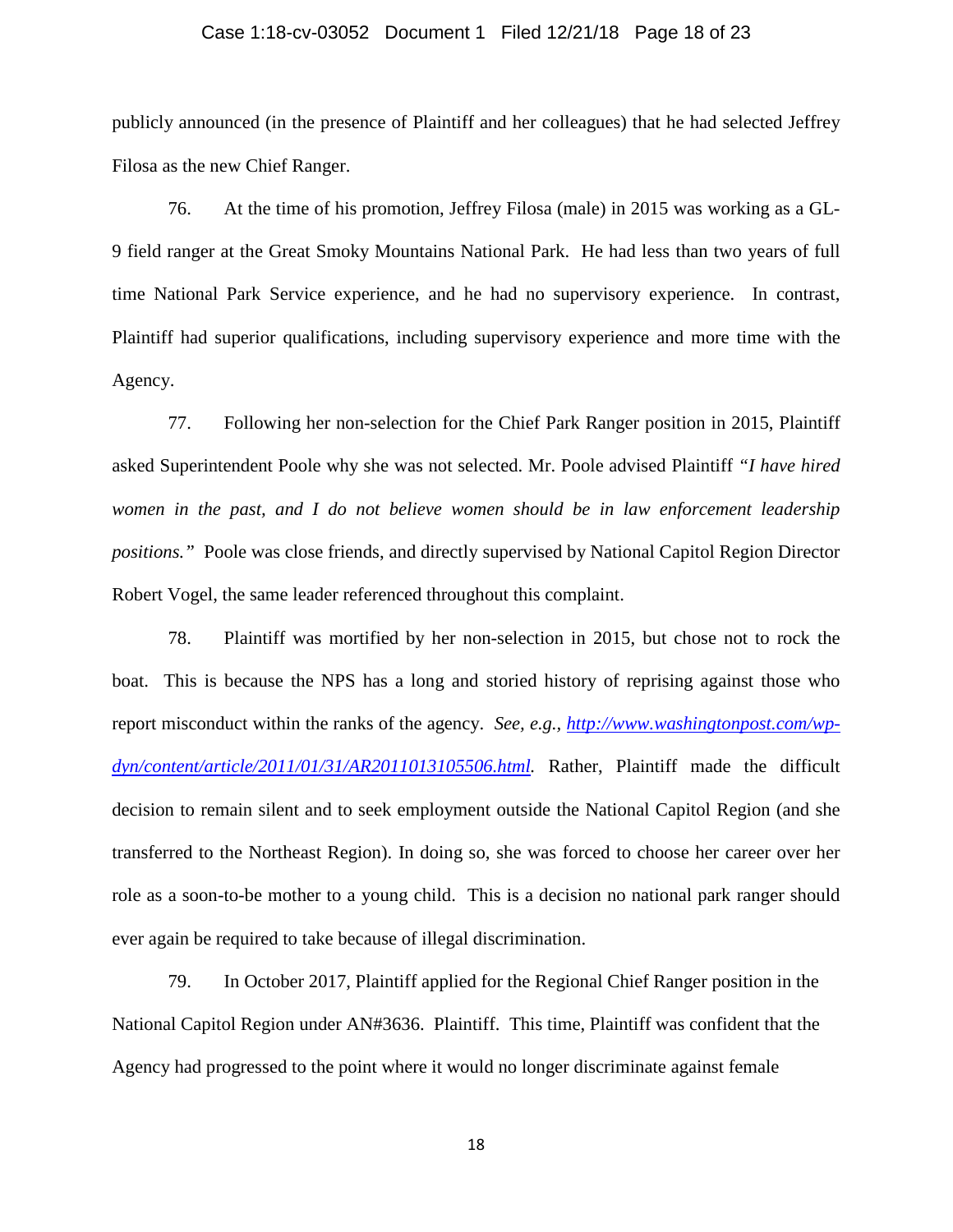### Case 1:18-cv-03052 Document 1 Filed 12/21/18 Page 18 of 23

publicly announced (in the presence of Plaintiff and her colleagues) that he had selected Jeffrey Filosa as the new Chief Ranger.

76. At the time of his promotion, Jeffrey Filosa (male) in 2015 was working as a GL-9 field ranger at the Great Smoky Mountains National Park. He had less than two years of full time National Park Service experience, and he had no supervisory experience. In contrast, Plaintiff had superior qualifications, including supervisory experience and more time with the Agency.

77. Following her non-selection for the Chief Park Ranger position in 2015, Plaintiff asked Superintendent Poole why she was not selected. Mr. Poole advised Plaintiff *"I have hired women in the past, and I do not believe women should be in law enforcement leadership positions."* Poole was close friends, and directly supervised by National Capitol Region Director Robert Vogel, the same leader referenced throughout this complaint.

78. Plaintiff was mortified by her non-selection in 2015, but chose not to rock the boat. This is because the NPS has a long and storied history of reprising against those who report misconduct within the ranks of the agency. *See, e.g., [http://www.washingtonpost.com/wp](http://www.washingtonpost.com/wp-dyn/content/article/2011/01/31/AR2011013105506.html)[dyn/content/article/2011/01/31/AR2011013105506.html.](http://www.washingtonpost.com/wp-dyn/content/article/2011/01/31/AR2011013105506.html)* Rather, Plaintiff made the difficult decision to remain silent and to seek employment outside the National Capitol Region (and she transferred to the Northeast Region). In doing so, she was forced to choose her career over her role as a soon-to-be mother to a young child. This is a decision no national park ranger should ever again be required to take because of illegal discrimination.

79. In October 2017, Plaintiff applied for the Regional Chief Ranger position in the National Capitol Region under AN#3636. Plaintiff. This time, Plaintiff was confident that the Agency had progressed to the point where it would no longer discriminate against female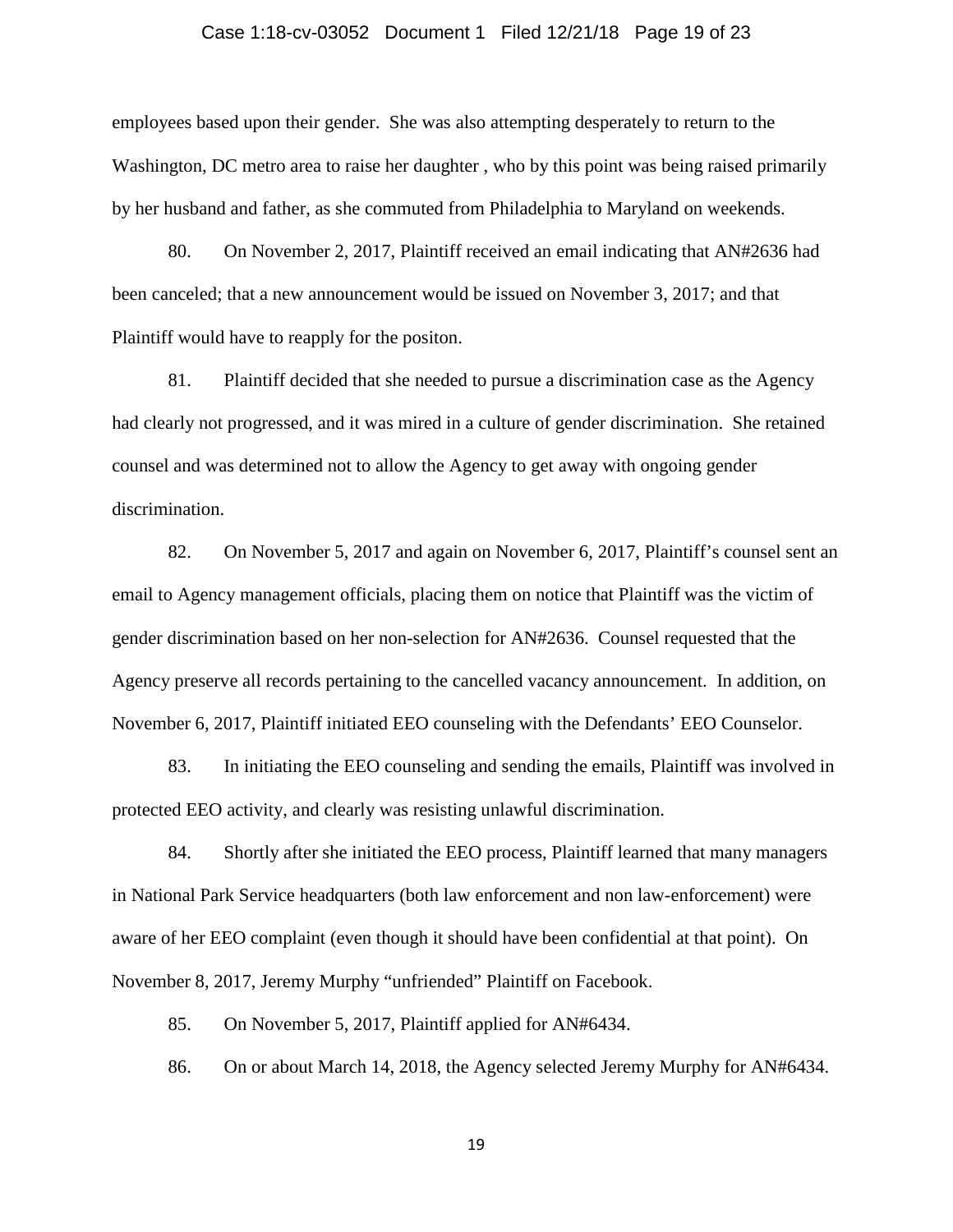### Case 1:18-cv-03052 Document 1 Filed 12/21/18 Page 19 of 23

employees based upon their gender. She was also attempting desperately to return to the Washington, DC metro area to raise her daughter , who by this point was being raised primarily by her husband and father, as she commuted from Philadelphia to Maryland on weekends.

80. On November 2, 2017, Plaintiff received an email indicating that AN#2636 had been canceled; that a new announcement would be issued on November 3, 2017; and that Plaintiff would have to reapply for the positon.

81. Plaintiff decided that she needed to pursue a discrimination case as the Agency had clearly not progressed, and it was mired in a culture of gender discrimination. She retained counsel and was determined not to allow the Agency to get away with ongoing gender discrimination.

82. On November 5, 2017 and again on November 6, 2017, Plaintiff's counsel sent an email to Agency management officials, placing them on notice that Plaintiff was the victim of gender discrimination based on her non-selection for AN#2636. Counsel requested that the Agency preserve all records pertaining to the cancelled vacancy announcement. In addition, on November 6, 2017, Plaintiff initiated EEO counseling with the Defendants' EEO Counselor.

83. In initiating the EEO counseling and sending the emails, Plaintiff was involved in protected EEO activity, and clearly was resisting unlawful discrimination.

84. Shortly after she initiated the EEO process, Plaintiff learned that many managers in National Park Service headquarters (both law enforcement and non law-enforcement) were aware of her EEO complaint (even though it should have been confidential at that point). On November 8, 2017, Jeremy Murphy "unfriended" Plaintiff on Facebook.

85. On November 5, 2017, Plaintiff applied for AN#6434.

86. On or about March 14, 2018, the Agency selected Jeremy Murphy for AN#6434.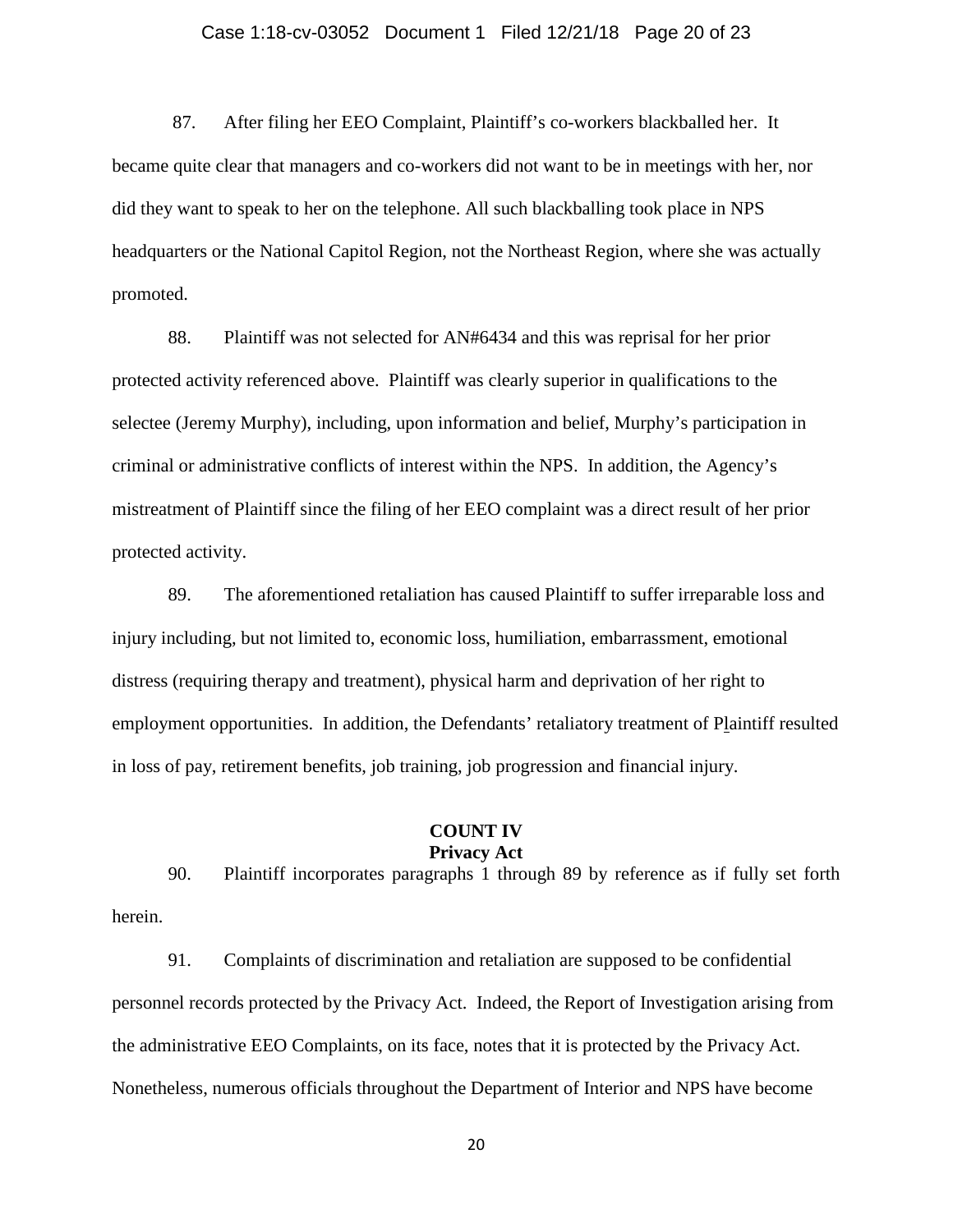### Case 1:18-cv-03052 Document 1 Filed 12/21/18 Page 20 of 23

87. After filing her EEO Complaint, Plaintiff's co-workers blackballed her. It became quite clear that managers and co-workers did not want to be in meetings with her, nor did they want to speak to her on the telephone. All such blackballing took place in NPS headquarters or the National Capitol Region, not the Northeast Region, where she was actually promoted.

88. Plaintiff was not selected for AN#6434 and this was reprisal for her prior protected activity referenced above. Plaintiff was clearly superior in qualifications to the selectee (Jeremy Murphy), including, upon information and belief, Murphy's participation in criminal or administrative conflicts of interest within the NPS. In addition, the Agency's mistreatment of Plaintiff since the filing of her EEO complaint was a direct result of her prior protected activity.

89. The aforementioned retaliation has caused Plaintiff to suffer irreparable loss and injury including, but not limited to, economic loss, humiliation, embarrassment, emotional distress (requiring therapy and treatment), physical harm and deprivation of her right to employment opportunities. In addition, the Defendants' retaliatory treatment of Plaintiff resulted in loss of pay, retirement benefits, job training, job progression and financial injury.

#### **COUNT IV Privacy Act**

90. Plaintiff incorporates paragraphs 1 through 89 by reference as if fully set forth herein.

91. Complaints of discrimination and retaliation are supposed to be confidential personnel records protected by the Privacy Act. Indeed, the Report of Investigation arising from the administrative EEO Complaints, on its face, notes that it is protected by the Privacy Act. Nonetheless, numerous officials throughout the Department of Interior and NPS have become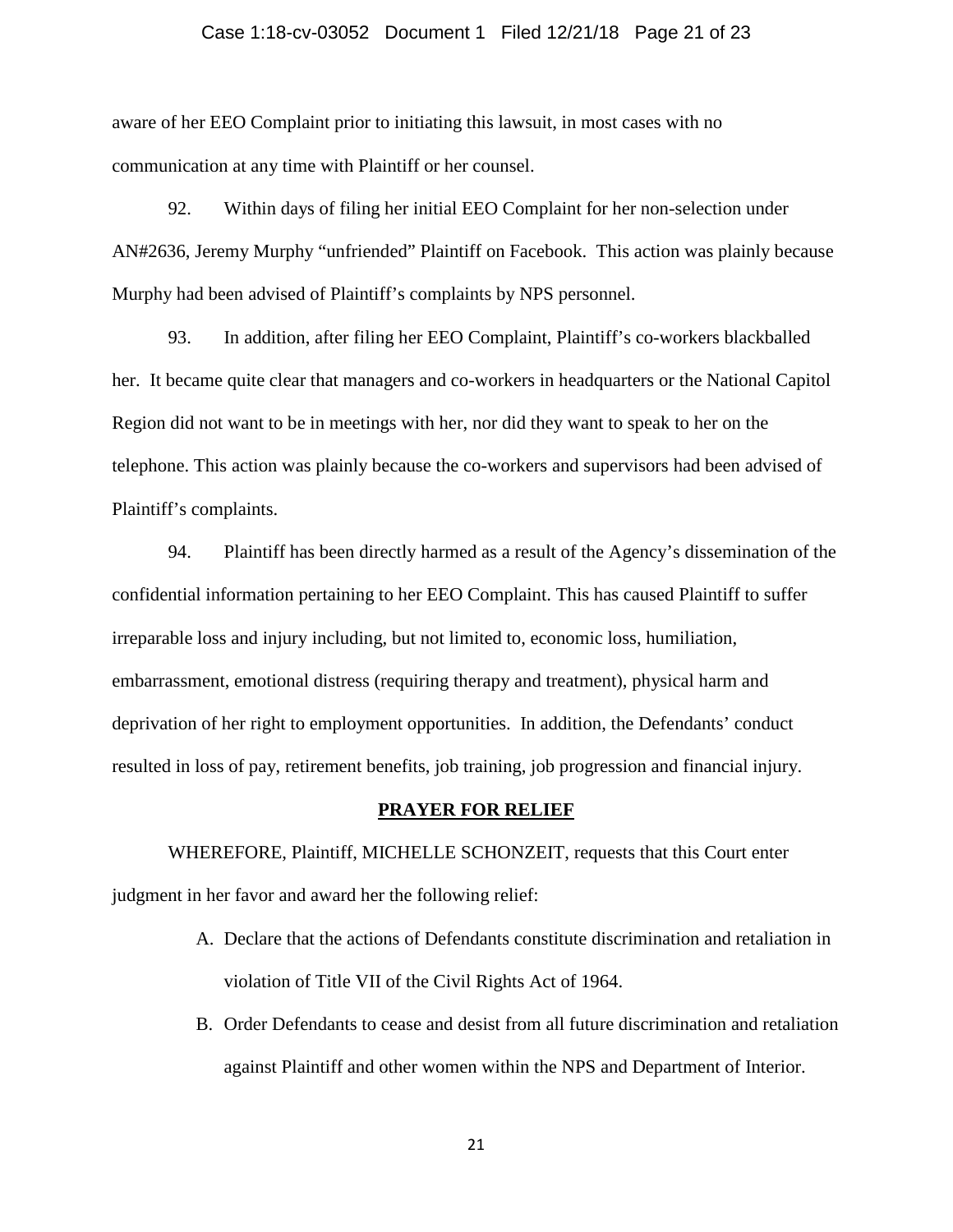### Case 1:18-cv-03052 Document 1 Filed 12/21/18 Page 21 of 23

aware of her EEO Complaint prior to initiating this lawsuit, in most cases with no communication at any time with Plaintiff or her counsel.

92. Within days of filing her initial EEO Complaint for her non-selection under AN#2636, Jeremy Murphy "unfriended" Plaintiff on Facebook. This action was plainly because Murphy had been advised of Plaintiff's complaints by NPS personnel.

93. In addition, after filing her EEO Complaint, Plaintiff's co-workers blackballed her. It became quite clear that managers and co-workers in headquarters or the National Capitol Region did not want to be in meetings with her, nor did they want to speak to her on the telephone. This action was plainly because the co-workers and supervisors had been advised of Plaintiff's complaints.

94. Plaintiff has been directly harmed as a result of the Agency's dissemination of the confidential information pertaining to her EEO Complaint. This has caused Plaintiff to suffer irreparable loss and injury including, but not limited to, economic loss, humiliation, embarrassment, emotional distress (requiring therapy and treatment), physical harm and deprivation of her right to employment opportunities. In addition, the Defendants' conduct resulted in loss of pay, retirement benefits, job training, job progression and financial injury.

#### **PRAYER FOR RELIEF**

WHEREFORE, Plaintiff, MICHELLE SCHONZEIT, requests that this Court enter judgment in her favor and award her the following relief:

- A. Declare that the actions of Defendants constitute discrimination and retaliation in violation of Title VII of the Civil Rights Act of 1964.
- B. Order Defendants to cease and desist from all future discrimination and retaliation against Plaintiff and other women within the NPS and Department of Interior.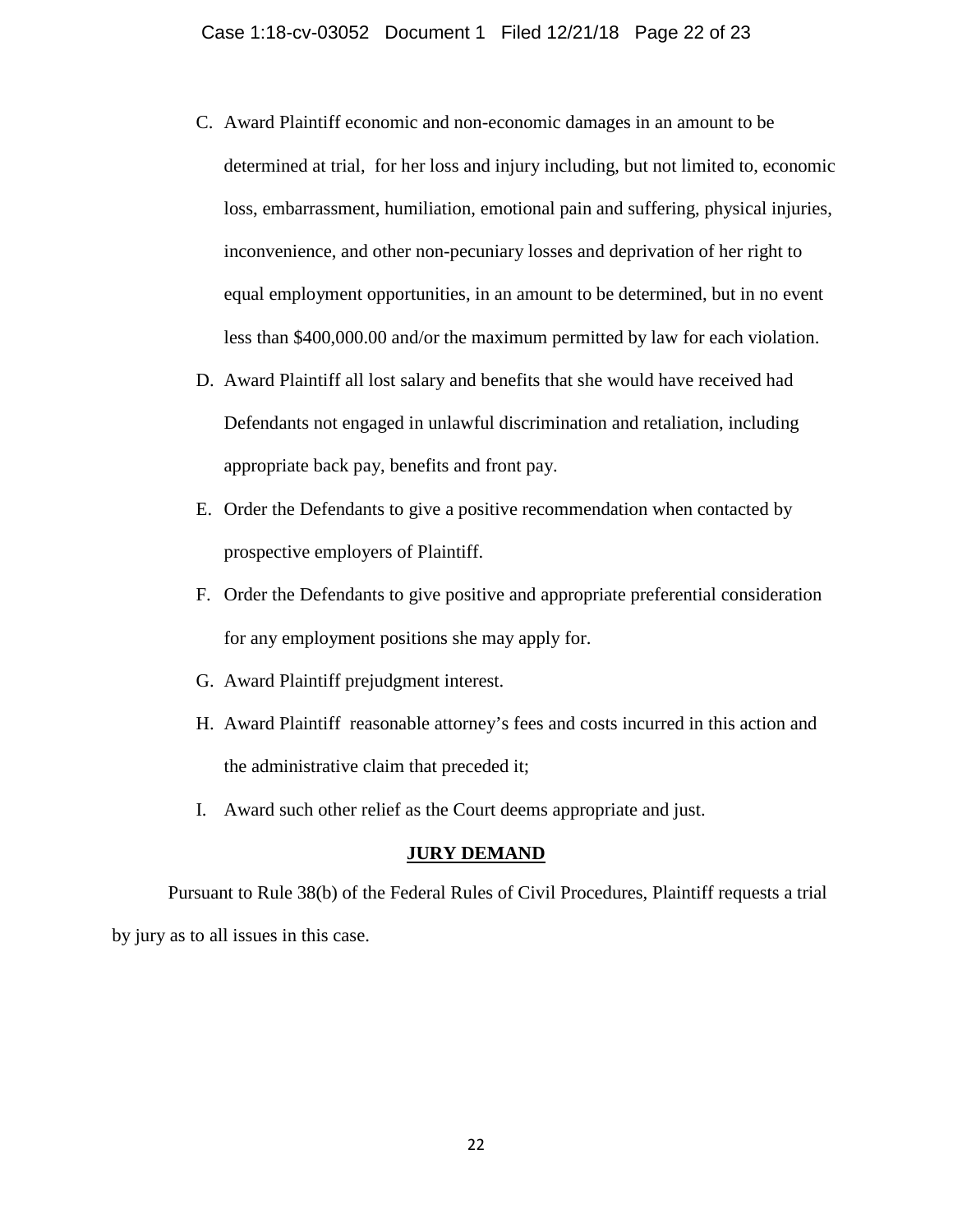- C. Award Plaintiff economic and non-economic damages in an amount to be determined at trial, for her loss and injury including, but not limited to, economic loss, embarrassment, humiliation, emotional pain and suffering, physical injuries, inconvenience, and other non-pecuniary losses and deprivation of her right to equal employment opportunities, in an amount to be determined, but in no event less than \$400,000.00 and/or the maximum permitted by law for each violation.
- D. Award Plaintiff all lost salary and benefits that she would have received had Defendants not engaged in unlawful discrimination and retaliation, including appropriate back pay, benefits and front pay.
- E. Order the Defendants to give a positive recommendation when contacted by prospective employers of Plaintiff.
- F. Order the Defendants to give positive and appropriate preferential consideration for any employment positions she may apply for.
- G. Award Plaintiff prejudgment interest.
- H. Award Plaintiff reasonable attorney's fees and costs incurred in this action and the administrative claim that preceded it;
- I. Award such other relief as the Court deems appropriate and just.

## **JURY DEMAND**

Pursuant to Rule 38(b) of the Federal Rules of Civil Procedures, Plaintiff requests a trial by jury as to all issues in this case.